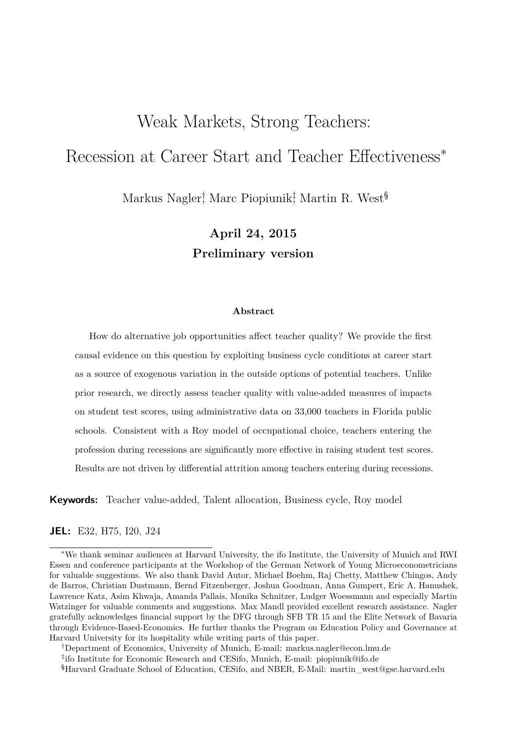# Weak Markets, Strong Teachers: Recession at Career Start and Teacher Effectiveness<sup>∗</sup>

Markus Nagler† , Marc Piopiunik‡ , Martin R. West§

**April 24, 2015 Preliminary version**

#### **Abstract**

How do alternative job opportunities affect teacher quality? We provide the first causal evidence on this question by exploiting business cycle conditions at career start as a source of exogenous variation in the outside options of potential teachers. Unlike prior research, we directly assess teacher quality with value-added measures of impacts on student test scores, using administrative data on 33,000 teachers in Florida public schools. Consistent with a Roy model of occupational choice, teachers entering the profession during recessions are significantly more effective in raising student test scores. Results are not driven by differential attrition among teachers entering during recessions.

**Keywords:** Teacher value-added, Talent allocation, Business cycle, Roy model

#### **JEL:** E32, H75, I20, J24

<sup>∗</sup>We thank seminar audiences at Harvard University, the ifo Institute, the University of Munich and RWI Essen and conference participants at the Workshop of the German Network of Young Microeconometricians for valuable suggestions. We also thank David Autor, Michael Boehm, Raj Chetty, Matthew Chingos, Andy de Barros, Christian Dustmann, Bernd Fitzenberger, Joshua Goodman, Anna Gumpert, Eric A. Hanushek, Lawrence Katz, Asim Khwaja, Amanda Pallais, Monika Schnitzer, Ludger Woessmann and especially Martin Watzinger for valuable comments and suggestions. Max Mandl provided excellent research assistance. Nagler gratefully acknowledges financial support by the DFG through SFB TR 15 and the Elite Network of Bavaria through Evidence-Based-Economics. He further thanks the Program on Education Policy and Governance at Harvard University for its hospitality while writing parts of this paper.

<sup>†</sup>Department of Economics, University of Munich, E-mail: markus.nagler@econ.lmu.de

<sup>‡</sup> ifo Institute for Economic Research and CESifo, Munich, E-mail: piopiunik@ifo.de

<sup>§</sup>Harvard Graduate School of Education, CESifo, and NBER, E-Mail: martin\_west@gse.harvard.edu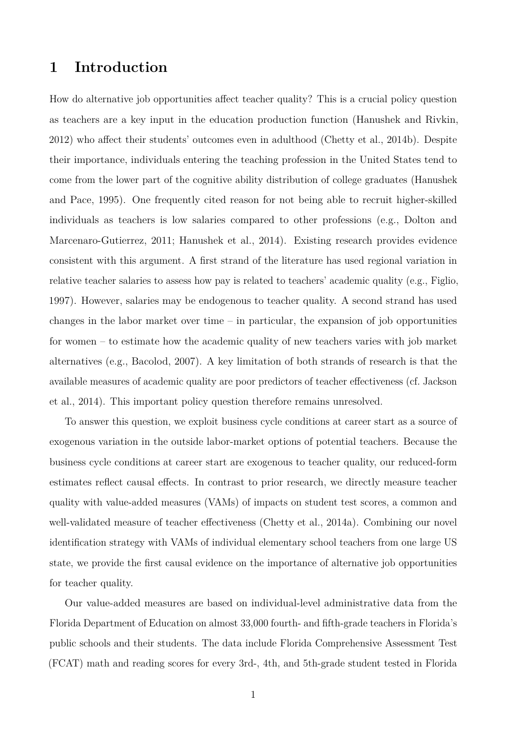# **1 Introduction**

How do alternative job opportunities affect teacher quality? This is a crucial policy question as teachers are a key input in the education production function (Hanushek and Rivkin, 2012) who affect their students' outcomes even in adulthood (Chetty et al., 2014b). Despite their importance, individuals entering the teaching profession in the United States tend to come from the lower part of the cognitive ability distribution of college graduates (Hanushek and Pace, 1995). One frequently cited reason for not being able to recruit higher-skilled individuals as teachers is low salaries compared to other professions (e.g., Dolton and Marcenaro-Gutierrez, 2011; Hanushek et al., 2014). Existing research provides evidence consistent with this argument. A first strand of the literature has used regional variation in relative teacher salaries to assess how pay is related to teachers' academic quality (e.g., Figlio, 1997). However, salaries may be endogenous to teacher quality. A second strand has used changes in the labor market over time – in particular, the expansion of job opportunities for women – to estimate how the academic quality of new teachers varies with job market alternatives (e.g., Bacolod, 2007). A key limitation of both strands of research is that the available measures of academic quality are poor predictors of teacher effectiveness (cf. Jackson et al., 2014). This important policy question therefore remains unresolved.

To answer this question, we exploit business cycle conditions at career start as a source of exogenous variation in the outside labor-market options of potential teachers. Because the business cycle conditions at career start are exogenous to teacher quality, our reduced-form estimates reflect causal effects. In contrast to prior research, we directly measure teacher quality with value-added measures (VAMs) of impacts on student test scores, a common and well-validated measure of teacher effectiveness (Chetty et al., 2014a). Combining our novel identification strategy with VAMs of individual elementary school teachers from one large US state, we provide the first causal evidence on the importance of alternative job opportunities for teacher quality.

Our value-added measures are based on individual-level administrative data from the Florida Department of Education on almost 33,000 fourth- and fifth-grade teachers in Florida's public schools and their students. The data include Florida Comprehensive Assessment Test (FCAT) math and reading scores for every 3rd-, 4th, and 5th-grade student tested in Florida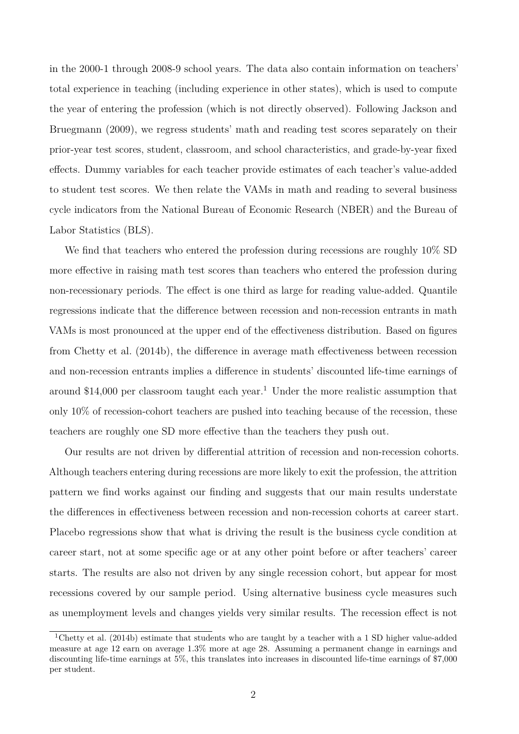in the 2000-1 through 2008-9 school years. The data also contain information on teachers' total experience in teaching (including experience in other states), which is used to compute the year of entering the profession (which is not directly observed). Following Jackson and Bruegmann (2009), we regress students' math and reading test scores separately on their prior-year test scores, student, classroom, and school characteristics, and grade-by-year fixed effects. Dummy variables for each teacher provide estimates of each teacher's value-added to student test scores. We then relate the VAMs in math and reading to several business cycle indicators from the National Bureau of Economic Research (NBER) and the Bureau of Labor Statistics (BLS).

We find that teachers who entered the profession during recessions are roughly 10% SD more effective in raising math test scores than teachers who entered the profession during non-recessionary periods. The effect is one third as large for reading value-added. Quantile regressions indicate that the difference between recession and non-recession entrants in math VAMs is most pronounced at the upper end of the effectiveness distribution. Based on figures from Chetty et al. (2014b), the difference in average math effectiveness between recession and non-recession entrants implies a difference in students' discounted life-time earnings of around \$14,000 per classroom taught each year.<sup>1</sup> Under the more realistic assumption that only 10% of recession-cohort teachers are pushed into teaching because of the recession, these teachers are roughly one SD more effective than the teachers they push out.

Our results are not driven by differential attrition of recession and non-recession cohorts. Although teachers entering during recessions are more likely to exit the profession, the attrition pattern we find works against our finding and suggests that our main results understate the differences in effectiveness between recession and non-recession cohorts at career start. Placebo regressions show that what is driving the result is the business cycle condition at career start, not at some specific age or at any other point before or after teachers' career starts. The results are also not driven by any single recession cohort, but appear for most recessions covered by our sample period. Using alternative business cycle measures such as unemployment levels and changes yields very similar results. The recession effect is not

<sup>1</sup>Chetty et al. (2014b) estimate that students who are taught by a teacher with a 1 SD higher value-added measure at age 12 earn on average 1.3% more at age 28. Assuming a permanent change in earnings and discounting life-time earnings at 5%, this translates into increases in discounted life-time earnings of \$7,000 per student.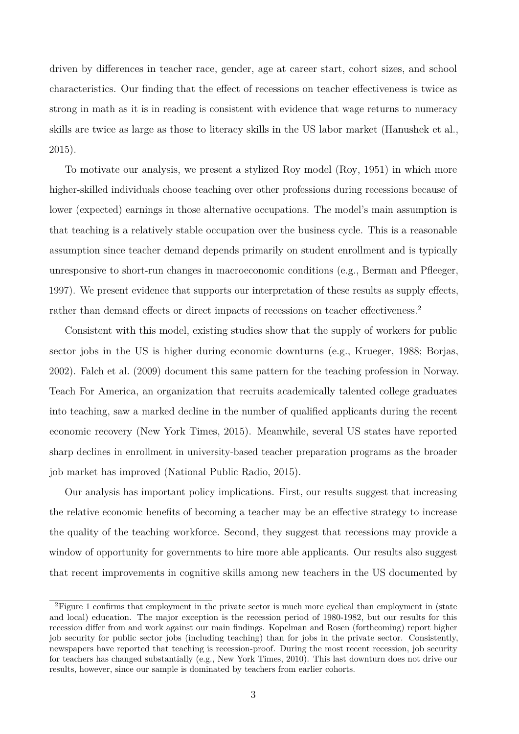driven by differences in teacher race, gender, age at career start, cohort sizes, and school characteristics. Our finding that the effect of recessions on teacher effectiveness is twice as strong in math as it is in reading is consistent with evidence that wage returns to numeracy skills are twice as large as those to literacy skills in the US labor market (Hanushek et al., 2015).

To motivate our analysis, we present a stylized Roy model (Roy, 1951) in which more higher-skilled individuals choose teaching over other professions during recessions because of lower (expected) earnings in those alternative occupations. The model's main assumption is that teaching is a relatively stable occupation over the business cycle. This is a reasonable assumption since teacher demand depends primarily on student enrollment and is typically unresponsive to short-run changes in macroeconomic conditions (e.g., Berman and Pfleeger, 1997). We present evidence that supports our interpretation of these results as supply effects, rather than demand effects or direct impacts of recessions on teacher effectiveness.<sup>2</sup>

Consistent with this model, existing studies show that the supply of workers for public sector jobs in the US is higher during economic downturns (e.g., Krueger, 1988; Borjas, 2002). Falch et al. (2009) document this same pattern for the teaching profession in Norway. Teach For America, an organization that recruits academically talented college graduates into teaching, saw a marked decline in the number of qualified applicants during the recent economic recovery (New York Times, 2015). Meanwhile, several US states have reported sharp declines in enrollment in university-based teacher preparation programs as the broader job market has improved (National Public Radio, 2015).

Our analysis has important policy implications. First, our results suggest that increasing the relative economic benefits of becoming a teacher may be an effective strategy to increase the quality of the teaching workforce. Second, they suggest that recessions may provide a window of opportunity for governments to hire more able applicants. Our results also suggest that recent improvements in cognitive skills among new teachers in the US documented by

<sup>&</sup>lt;sup>2</sup>Figure 1 confirms that employment in the private sector is much more cyclical than employment in (state and local) education. The major exception is the recession period of 1980-1982, but our results for this recession differ from and work against our main findings. Kopelman and Rosen (forthcoming) report higher job security for public sector jobs (including teaching) than for jobs in the private sector. Consistently, newspapers have reported that teaching is recession-proof. During the most recent recession, job security for teachers has changed substantially (e.g., New York Times, 2010). This last downturn does not drive our results, however, since our sample is dominated by teachers from earlier cohorts.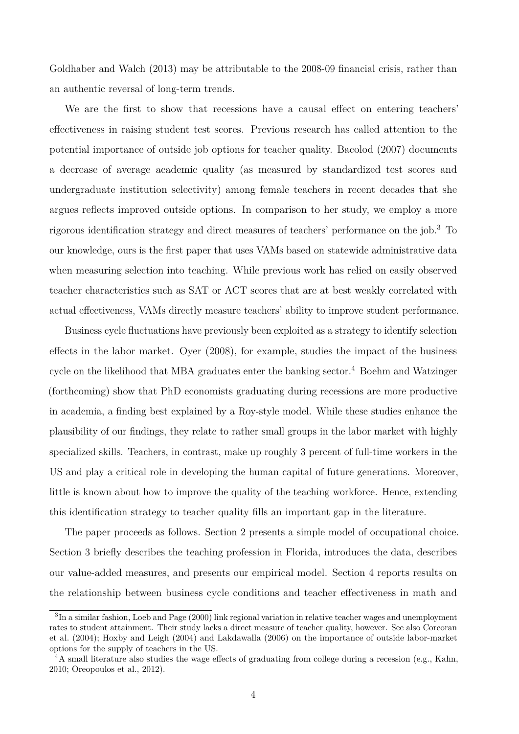Goldhaber and Walch (2013) may be attributable to the 2008-09 financial crisis, rather than an authentic reversal of long-term trends.

We are the first to show that recessions have a causal effect on entering teachers' effectiveness in raising student test scores. Previous research has called attention to the potential importance of outside job options for teacher quality. Bacolod (2007) documents a decrease of average academic quality (as measured by standardized test scores and undergraduate institution selectivity) among female teachers in recent decades that she argues reflects improved outside options. In comparison to her study, we employ a more rigorous identification strategy and direct measures of teachers' performance on the job.<sup>3</sup> To our knowledge, ours is the first paper that uses VAMs based on statewide administrative data when measuring selection into teaching. While previous work has relied on easily observed teacher characteristics such as SAT or ACT scores that are at best weakly correlated with actual effectiveness, VAMs directly measure teachers' ability to improve student performance.

Business cycle fluctuations have previously been exploited as a strategy to identify selection effects in the labor market. Oyer (2008), for example, studies the impact of the business cycle on the likelihood that MBA graduates enter the banking sector.<sup>4</sup> Boehm and Watzinger (forthcoming) show that PhD economists graduating during recessions are more productive in academia, a finding best explained by a Roy-style model. While these studies enhance the plausibility of our findings, they relate to rather small groups in the labor market with highly specialized skills. Teachers, in contrast, make up roughly 3 percent of full-time workers in the US and play a critical role in developing the human capital of future generations. Moreover, little is known about how to improve the quality of the teaching workforce. Hence, extending this identification strategy to teacher quality fills an important gap in the literature.

The paper proceeds as follows. Section 2 presents a simple model of occupational choice. Section 3 briefly describes the teaching profession in Florida, introduces the data, describes our value-added measures, and presents our empirical model. Section 4 reports results on the relationship between business cycle conditions and teacher effectiveness in math and

<sup>&</sup>lt;sup>3</sup>In a similar fashion, Loeb and Page (2000) link regional variation in relative teacher wages and unemployment rates to student attainment. Their study lacks a direct measure of teacher quality, however. See also Corcoran et al. (2004); Hoxby and Leigh (2004) and Lakdawalla (2006) on the importance of outside labor-market options for the supply of teachers in the US.

<sup>&</sup>lt;sup>4</sup>A small literature also studies the wage effects of graduating from college during a recession (e.g., Kahn, 2010; Oreopoulos et al., 2012).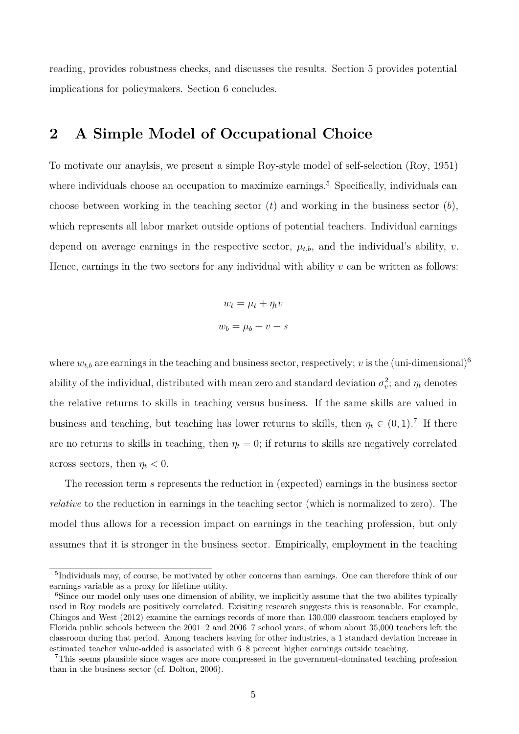reading, provides robustness checks, and discusses the results. Section 5 provides potential implications for policymakers. Section 6 concludes.

# **2 A Simple Model of Occupational Choice**

To motivate our anaylsis, we present a simple Roy-style model of self-selection (Roy, 1951) where individuals choose an occupation to maximize earnings.<sup>5</sup> Specifically, individuals can choose between working in the teaching sector  $(t)$  and working in the business sector  $(b)$ , which represents all labor market outside options of potential teachers. Individual earnings depend on average earnings in the respective sector,  $\mu_{t,b}$ , and the individual's ability, *v*. Hence, earnings in the two sectors for any individual with ability  $v$  can be written as follows:

$$
w_t = \mu_t + \eta_t v
$$

$$
w_b = \mu_b + v - s
$$

where  $w_{t,b}$  are earnings in the teaching and business sector, respectively; *v* is the (uni-dimensional)<sup>6</sup> ability of the individual, distributed with mean zero and standard deviation  $\sigma_v^2$ ; and  $\eta_t$  denotes the relative returns to skills in teaching versus business. If the same skills are valued in business and teaching, but teaching has lower returns to skills, then  $\eta_t \in (0,1)$ .<sup>7</sup> If there are no returns to skills in teaching, then  $\eta_t = 0$ ; if returns to skills are negatively correlated across sectors, then  $\eta_t < 0$ .

The recession term *s* represents the reduction in (expected) earnings in the business sector *relative* to the reduction in earnings in the teaching sector (which is normalized to zero). The model thus allows for a recession impact on earnings in the teaching profession, but only assumes that it is stronger in the business sector. Empirically, employment in the teaching

<sup>&</sup>lt;sup>5</sup>Individuals may, of course, be motivated by other concerns than earnings. One can therefore think of our earnings variable as a proxy for lifetime utility.

<sup>&</sup>lt;sup>6</sup>Since our model only uses one dimension of ability, we implicitly assume that the two abilites typically used in Roy models are positively correlated. Exisiting research suggests this is reasonable. For example, Chingos and West (2012) examine the earnings records of more than 130,000 classroom teachers employed by Florida public schools between the 2001–2 and 2006–7 school years, of whom about 35,000 teachers left the classroom during that period. Among teachers leaving for other industries, a 1 standard deviation increase in estimated teacher value-added is associated with 6–8 percent higher earnings outside teaching.

<sup>7</sup>This seems plausible since wages are more compressed in the government-dominated teaching profession than in the business sector (cf. Dolton, 2006).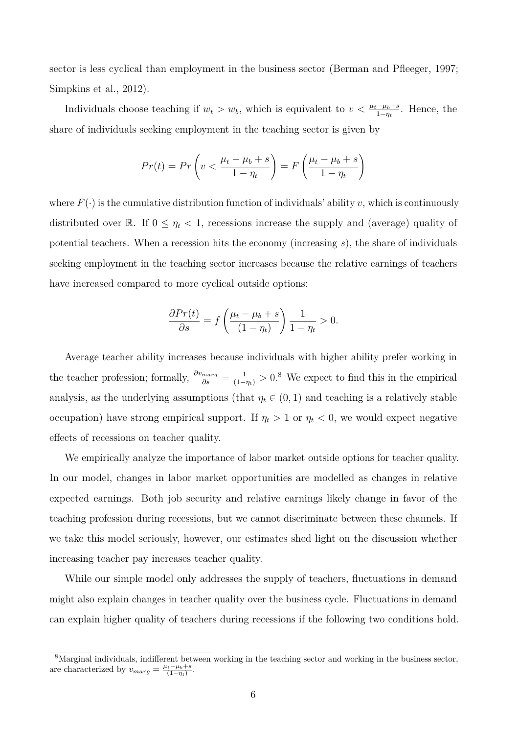sector is less cyclical than employment in the business sector (Berman and Pfleeger, 1997; Simpkins et al., 2012).

Individuals choose teaching if  $w_t > w_b$ , which is equivalent to  $v < \frac{\mu_t - \mu_b + s}{1 - \eta_t}$ . Hence, the share of individuals seeking employment in the teaching sector is given by

$$
Pr(t) = Pr\left(v < \frac{\mu_t - \mu_b + s}{1 - \eta_t}\right) = F\left(\frac{\mu_t - \mu_b + s}{1 - \eta_t}\right)
$$

where  $F(\cdot)$  is the cumulative distribution function of individuals' ability *v*, which is continuously distributed over R. If  $0 \leq \eta_t < 1$ , recessions increase the supply and (average) quality of potential teachers. When a recession hits the economy (increasing *s*), the share of individuals seeking employment in the teaching sector increases because the relative earnings of teachers have increased compared to more cyclical outside options:

$$
\frac{\partial Pr(t)}{\partial s} = f\left(\frac{\mu_t - \mu_b + s}{(1 - \eta_t)}\right) \frac{1}{1 - \eta_t} > 0.
$$

Average teacher ability increases because individuals with higher ability prefer working in the teacher profession; formally,  $\frac{\partial v_{marg}}{\partial s} = \frac{1}{(1-\eta_t)} > 0$ .<sup>8</sup> We expect to find this in the empirical analysis, as the underlying assumptions (that  $\eta_t \in (0,1)$  and teaching is a relatively stable occupation) have strong empirical support. If  $\eta_t > 1$  or  $\eta_t < 0$ , we would expect negative effects of recessions on teacher quality.

We empirically analyze the importance of labor market outside options for teacher quality. In our model, changes in labor market opportunities are modelled as changes in relative expected earnings. Both job security and relative earnings likely change in favor of the teaching profession during recessions, but we cannot discriminate between these channels. If we take this model seriously, however, our estimates shed light on the discussion whether increasing teacher pay increases teacher quality.

While our simple model only addresses the supply of teachers, fluctuations in demand might also explain changes in teacher quality over the business cycle. Fluctuations in demand can explain higher quality of teachers during recessions if the following two conditions hold.

<sup>&</sup>lt;sup>8</sup>Marginal individuals, indifferent between working in the teaching sector and working in the business sector, are characterized by  $v_{marg} = \frac{\mu_t - \mu_b + s}{(1 - \eta_t)}$ .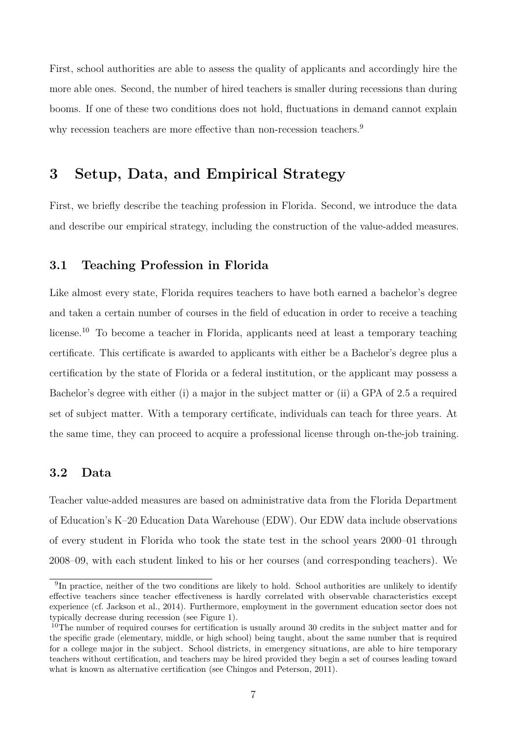First, school authorities are able to assess the quality of applicants and accordingly hire the more able ones. Second, the number of hired teachers is smaller during recessions than during booms. If one of these two conditions does not hold, fluctuations in demand cannot explain why recession teachers are more effective than non-recession teachers.<sup>9</sup>

### **3 Setup, Data, and Empirical Strategy**

First, we briefly describe the teaching profession in Florida. Second, we introduce the data and describe our empirical strategy, including the construction of the value-added measures.

#### **3.1 Teaching Profession in Florida**

Like almost every state, Florida requires teachers to have both earned a bachelor's degree and taken a certain number of courses in the field of education in order to receive a teaching license.<sup>10</sup> To become a teacher in Florida, applicants need at least a temporary teaching certificate. This certificate is awarded to applicants with either be a Bachelor's degree plus a certification by the state of Florida or a federal institution, or the applicant may possess a Bachelor's degree with either (i) a major in the subject matter or (ii) a GPA of 2.5 a required set of subject matter. With a temporary certificate, individuals can teach for three years. At the same time, they can proceed to acquire a professional license through on-the-job training.

#### **3.2 Data**

Teacher value-added measures are based on administrative data from the Florida Department of Education's K–20 Education Data Warehouse (EDW). Our EDW data include observations of every student in Florida who took the state test in the school years 2000–01 through 2008–09, with each student linked to his or her courses (and corresponding teachers). We

<sup>&</sup>lt;sup>9</sup>In practice, neither of the two conditions are likely to hold. School authorities are unlikely to identify effective teachers since teacher effectiveness is hardly correlated with observable characteristics except experience (cf. Jackson et al., 2014). Furthermore, employment in the government education sector does not typically decrease during recession (see Figure 1).

<sup>10</sup>The number of required courses for certification is usually around 30 credits in the subject matter and for the specific grade (elementary, middle, or high school) being taught, about the same number that is required for a college major in the subject. School districts, in emergency situations, are able to hire temporary teachers without certification, and teachers may be hired provided they begin a set of courses leading toward what is known as alternative certification (see Chingos and Peterson, 2011).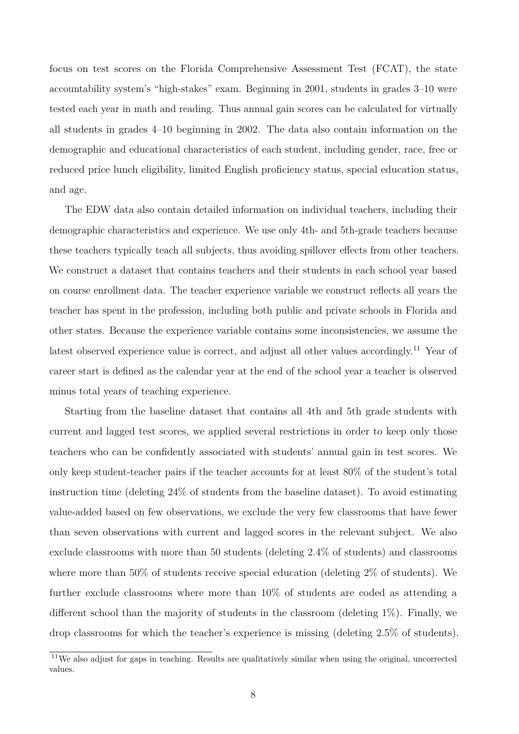focus on test scores on the Florida Comprehensive Assessment Test (FCAT), the state accountability system's "high-stakes" exam. Beginning in 2001, students in grades 3–10 were tested each year in math and reading. Thus annual gain scores can be calculated for virtually all students in grades 4–10 beginning in 2002. The data also contain information on the demographic and educational characteristics of each student, including gender, race, free or reduced price lunch eligibility, limited English proficiency status, special education status, and age.

The EDW data also contain detailed information on individual teachers, including their demographic characteristics and experience. We use only 4th- and 5th-grade teachers because these teachers typically teach all subjects, thus avoiding spillover effects from other teachers. We construct a dataset that contains teachers and their students in each school year based on course enrollment data. The teacher experience variable we construct reflects all years the teacher has spent in the profession, including both public and private schools in Florida and other states. Because the experience variable contains some inconsistencies, we assume the latest observed experience value is correct, and adjust all other values accordingly.<sup>11</sup> Year of career start is defined as the calendar year at the end of the school year a teacher is observed minus total years of teaching experience.

Starting from the baseline dataset that contains all 4th and 5th grade students with current and lagged test scores, we applied several restrictions in order to keep only those teachers who can be confidently associated with students' annual gain in test scores. We only keep student-teacher pairs if the teacher accounts for at least 80% of the student's total instruction time (deleting 24% of students from the baseline dataset). To avoid estimating value-added based on few observations, we exclude the very few classrooms that have fewer than seven observations with current and lagged scores in the relevant subject. We also exclude classrooms with more than 50 students (deleting 2.4% of students) and classrooms where more than 50% of students receive special education (deleting 2% of students). We further exclude classrooms where more than 10% of students are coded as attending a different school than the majority of students in the classroom (deleting 1%). Finally, we drop classrooms for which the teacher's experience is missing (deleting 2.5% of students).

<sup>&</sup>lt;sup>11</sup>We also adjust for gaps in teaching. Results are qualitatively similar when using the original, uncorrected values.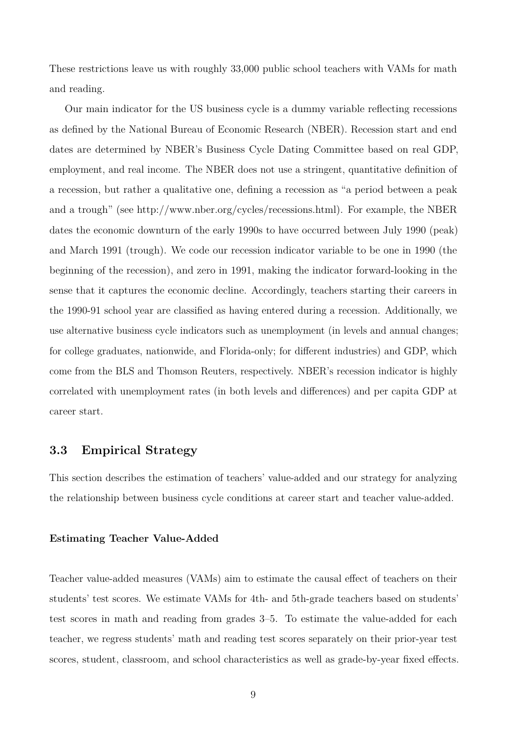These restrictions leave us with roughly 33,000 public school teachers with VAMs for math and reading.

Our main indicator for the US business cycle is a dummy variable reflecting recessions as defined by the National Bureau of Economic Research (NBER). Recession start and end dates are determined by NBER's Business Cycle Dating Committee based on real GDP, employment, and real income. The NBER does not use a stringent, quantitative definition of a recession, but rather a qualitative one, defining a recession as "a period between a peak and a trough" (see http://www.nber.org/cycles/recessions.html). For example, the NBER dates the economic downturn of the early 1990s to have occurred between July 1990 (peak) and March 1991 (trough). We code our recession indicator variable to be one in 1990 (the beginning of the recession), and zero in 1991, making the indicator forward-looking in the sense that it captures the economic decline. Accordingly, teachers starting their careers in the 1990-91 school year are classified as having entered during a recession. Additionally, we use alternative business cycle indicators such as unemployment (in levels and annual changes; for college graduates, nationwide, and Florida-only; for different industries) and GDP, which come from the BLS and Thomson Reuters, respectively. NBER's recession indicator is highly correlated with unemployment rates (in both levels and differences) and per capita GDP at career start.

#### **3.3 Empirical Strategy**

This section describes the estimation of teachers' value-added and our strategy for analyzing the relationship between business cycle conditions at career start and teacher value-added.

#### **Estimating Teacher Value-Added**

Teacher value-added measures (VAMs) aim to estimate the causal effect of teachers on their students' test scores. We estimate VAMs for 4th- and 5th-grade teachers based on students' test scores in math and reading from grades 3–5. To estimate the value-added for each teacher, we regress students' math and reading test scores separately on their prior-year test scores, student, classroom, and school characteristics as well as grade-by-year fixed effects.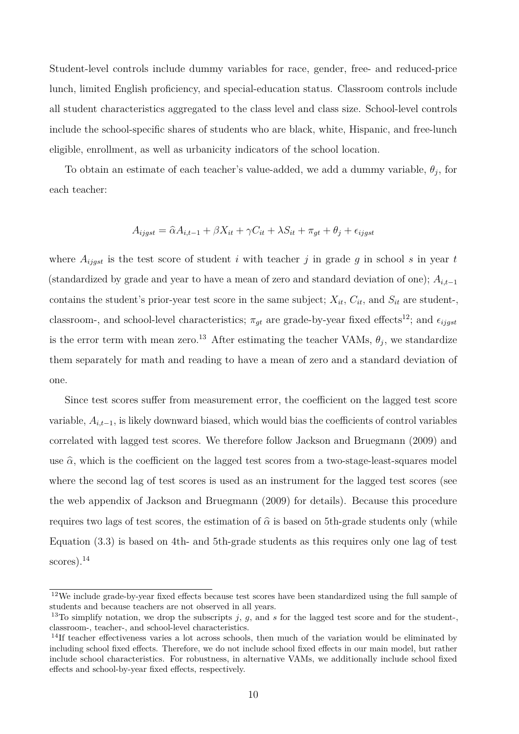Student-level controls include dummy variables for race, gender, free- and reduced-price lunch, limited English proficiency, and special-education status. Classroom controls include all student characteristics aggregated to the class level and class size. School-level controls include the school-specific shares of students who are black, white, Hispanic, and free-lunch eligible, enrollment, as well as urbanicity indicators of the school location.

To obtain an estimate of each teacher's value-added, we add a dummy variable,  $\theta_j$ , for each teacher:

$$
A_{ijgst} = \hat{\alpha}A_{i,t-1} + \beta X_{it} + \gamma C_{it} + \lambda S_{it} + \pi_{gt} + \theta_j + \epsilon_{ijgst}
$$

where  $A_{ijgst}$  is the test score of student *i* with teacher *j* in grade *g* in school *s* in year *t* (standardized by grade and year to have a mean of zero and standard deviation of one); *Ai,t*−<sup>1</sup> contains the student's prior-year test score in the same subject;  $X_{it}$ ,  $C_{it}$ , and  $S_{it}$  are student-, classroom-, and school-level characteristics;  $\pi_{qt}$  are grade-by-year fixed effects<sup>12</sup>; and  $\epsilon_{ijgst}$ is the error term with mean zero.<sup>13</sup> After estimating the teacher VAMs,  $\theta_j$ , we standardize them separately for math and reading to have a mean of zero and a standard deviation of one.

Since test scores suffer from measurement error, the coefficient on the lagged test score variable, *Ai,t*−1, is likely downward biased, which would bias the coefficients of control variables correlated with lagged test scores. We therefore follow Jackson and Bruegmann (2009) and use  $\hat{\alpha}$ , which is the coefficient on the lagged test scores from a two-stage-least-squares model where the second lag of test scores is used as an instrument for the lagged test scores (see the web appendix of Jackson and Bruegmann (2009) for details). Because this procedure requires two lags of test scores, the estimation of  $\hat{\alpha}$  is based on 5th-grade students only (while Equation (3.3) is based on 4th- and 5th-grade students as this requires only one lag of test scores).<sup>14</sup>

<sup>12</sup>We include grade-by-year fixed effects because test scores have been standardized using the full sample of students and because teachers are not observed in all years.

<sup>&</sup>lt;sup>13</sup>To simplify notation, we drop the subscripts  $j$ ,  $g$ , and  $s$  for the lagged test score and for the student-, classroom-, teacher-, and school-level characteristics.

<sup>&</sup>lt;sup>14</sup>If teacher effectiveness varies a lot across schools, then much of the variation would be eliminated by including school fixed effects. Therefore, we do not include school fixed effects in our main model, but rather include school characteristics. For robustness, in alternative VAMs, we additionally include school fixed effects and school-by-year fixed effects, respectively.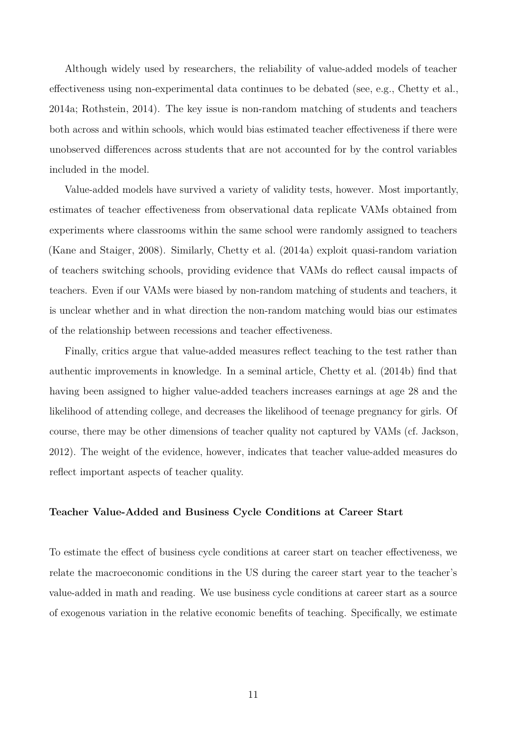Although widely used by researchers, the reliability of value-added models of teacher effectiveness using non-experimental data continues to be debated (see, e.g., Chetty et al., 2014a; Rothstein, 2014). The key issue is non-random matching of students and teachers both across and within schools, which would bias estimated teacher effectiveness if there were unobserved differences across students that are not accounted for by the control variables included in the model.

Value-added models have survived a variety of validity tests, however. Most importantly, estimates of teacher effectiveness from observational data replicate VAMs obtained from experiments where classrooms within the same school were randomly assigned to teachers (Kane and Staiger, 2008). Similarly, Chetty et al. (2014a) exploit quasi-random variation of teachers switching schools, providing evidence that VAMs do reflect causal impacts of teachers. Even if our VAMs were biased by non-random matching of students and teachers, it is unclear whether and in what direction the non-random matching would bias our estimates of the relationship between recessions and teacher effectiveness.

Finally, critics argue that value-added measures reflect teaching to the test rather than authentic improvements in knowledge. In a seminal article, Chetty et al. (2014b) find that having been assigned to higher value-added teachers increases earnings at age 28 and the likelihood of attending college, and decreases the likelihood of teenage pregnancy for girls. Of course, there may be other dimensions of teacher quality not captured by VAMs (cf. Jackson, 2012). The weight of the evidence, however, indicates that teacher value-added measures do reflect important aspects of teacher quality.

#### **Teacher Value-Added and Business Cycle Conditions at Career Start**

To estimate the effect of business cycle conditions at career start on teacher effectiveness, we relate the macroeconomic conditions in the US during the career start year to the teacher's value-added in math and reading. We use business cycle conditions at career start as a source of exogenous variation in the relative economic benefits of teaching. Specifically, we estimate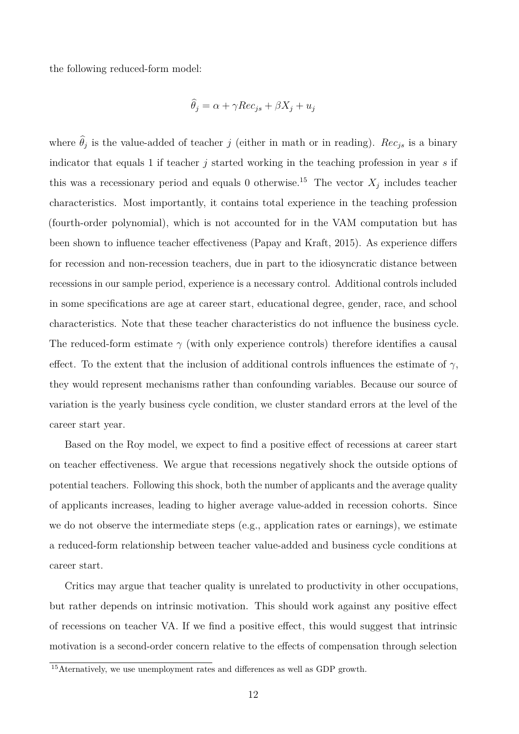the following reduced-form model:

$$
\widehat{\theta}_j = \alpha + \gamma Rec_{js} + \beta X_j + u_j
$$

where  $\theta_j$  is the value-added of teacher *j* (either in math or in reading). *Rec<sub>js</sub>* is a binary indicator that equals 1 if teacher *j* started working in the teaching profession in year *s* if this was a recessionary period and equals 0 otherwise.<sup>15</sup> The vector  $X_j$  includes teacher characteristics. Most importantly, it contains total experience in the teaching profession (fourth-order polynomial), which is not accounted for in the VAM computation but has been shown to influence teacher effectiveness (Papay and Kraft, 2015). As experience differs for recession and non-recession teachers, due in part to the idiosyncratic distance between recessions in our sample period, experience is a necessary control. Additional controls included in some specifications are age at career start, educational degree, gender, race, and school characteristics. Note that these teacher characteristics do not influence the business cycle. The reduced-form estimate *γ* (with only experience controls) therefore identifies a causal effect. To the extent that the inclusion of additional controls influences the estimate of  $\gamma$ , they would represent mechanisms rather than confounding variables. Because our source of variation is the yearly business cycle condition, we cluster standard errors at the level of the career start year.

Based on the Roy model, we expect to find a positive effect of recessions at career start on teacher effectiveness. We argue that recessions negatively shock the outside options of potential teachers. Following this shock, both the number of applicants and the average quality of applicants increases, leading to higher average value-added in recession cohorts. Since we do not observe the intermediate steps (e.g., application rates or earnings), we estimate a reduced-form relationship between teacher value-added and business cycle conditions at career start.

Critics may argue that teacher quality is unrelated to productivity in other occupations, but rather depends on intrinsic motivation. This should work against any positive effect of recessions on teacher VA. If we find a positive effect, this would suggest that intrinsic motivation is a second-order concern relative to the effects of compensation through selection

<sup>&</sup>lt;sup>15</sup>Aternatively, we use unemployment rates and differences as well as GDP growth.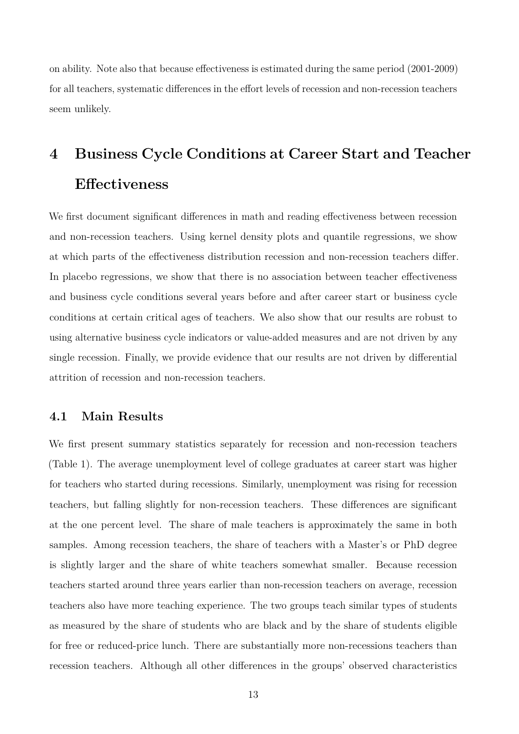on ability. Note also that because effectiveness is estimated during the same period (2001-2009) for all teachers, systematic differences in the effort levels of recession and non-recession teachers seem unlikely.

# **4 Business Cycle Conditions at Career Start and Teacher Effectiveness**

We first document significant differences in math and reading effectiveness between recession and non-recession teachers. Using kernel density plots and quantile regressions, we show at which parts of the effectiveness distribution recession and non-recession teachers differ. In placebo regressions, we show that there is no association between teacher effectiveness and business cycle conditions several years before and after career start or business cycle conditions at certain critical ages of teachers. We also show that our results are robust to using alternative business cycle indicators or value-added measures and are not driven by any single recession. Finally, we provide evidence that our results are not driven by differential attrition of recession and non-recession teachers.

#### **4.1 Main Results**

We first present summary statistics separately for recession and non-recession teachers (Table 1). The average unemployment level of college graduates at career start was higher for teachers who started during recessions. Similarly, unemployment was rising for recession teachers, but falling slightly for non-recession teachers. These differences are significant at the one percent level. The share of male teachers is approximately the same in both samples. Among recession teachers, the share of teachers with a Master's or PhD degree is slightly larger and the share of white teachers somewhat smaller. Because recession teachers started around three years earlier than non-recession teachers on average, recession teachers also have more teaching experience. The two groups teach similar types of students as measured by the share of students who are black and by the share of students eligible for free or reduced-price lunch. There are substantially more non-recessions teachers than recession teachers. Although all other differences in the groups' observed characteristics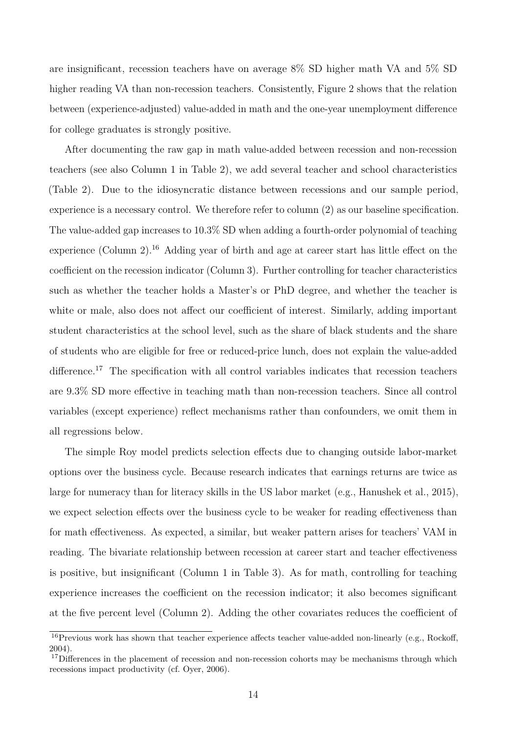are insignificant, recession teachers have on average 8% SD higher math VA and 5% SD higher reading VA than non-recession teachers. Consistently, Figure 2 shows that the relation between (experience-adjusted) value-added in math and the one-year unemployment difference for college graduates is strongly positive.

After documenting the raw gap in math value-added between recession and non-recession teachers (see also Column 1 in Table 2), we add several teacher and school characteristics (Table 2). Due to the idiosyncratic distance between recessions and our sample period, experience is a necessary control. We therefore refer to column (2) as our baseline specification. The value-added gap increases to 10.3% SD when adding a fourth-order polynomial of teaching experience (Column 2).<sup>16</sup> Adding year of birth and age at career start has little effect on the coefficient on the recession indicator (Column 3). Further controlling for teacher characteristics such as whether the teacher holds a Master's or PhD degree, and whether the teacher is white or male, also does not affect our coefficient of interest. Similarly, adding important student characteristics at the school level, such as the share of black students and the share of students who are eligible for free or reduced-price lunch, does not explain the value-added difference.<sup>17</sup> The specification with all control variables indicates that recession teachers are 9.3% SD more effective in teaching math than non-recession teachers. Since all control variables (except experience) reflect mechanisms rather than confounders, we omit them in all regressions below.

The simple Roy model predicts selection effects due to changing outside labor-market options over the business cycle. Because research indicates that earnings returns are twice as large for numeracy than for literacy skills in the US labor market (e.g., Hanushek et al., 2015), we expect selection effects over the business cycle to be weaker for reading effectiveness than for math effectiveness. As expected, a similar, but weaker pattern arises for teachers' VAM in reading. The bivariate relationship between recession at career start and teacher effectiveness is positive, but insignificant (Column 1 in Table 3). As for math, controlling for teaching experience increases the coefficient on the recession indicator; it also becomes significant at the five percent level (Column 2). Adding the other covariates reduces the coefficient of

<sup>&</sup>lt;sup>16</sup>Previous work has shown that teacher experience affects teacher value-added non-linearly (e.g., Rockoff, 2004).

<sup>&</sup>lt;sup>17</sup>Differences in the placement of recession and non-recession cohorts may be mechanisms through which recessions impact productivity (cf. Oyer, 2006).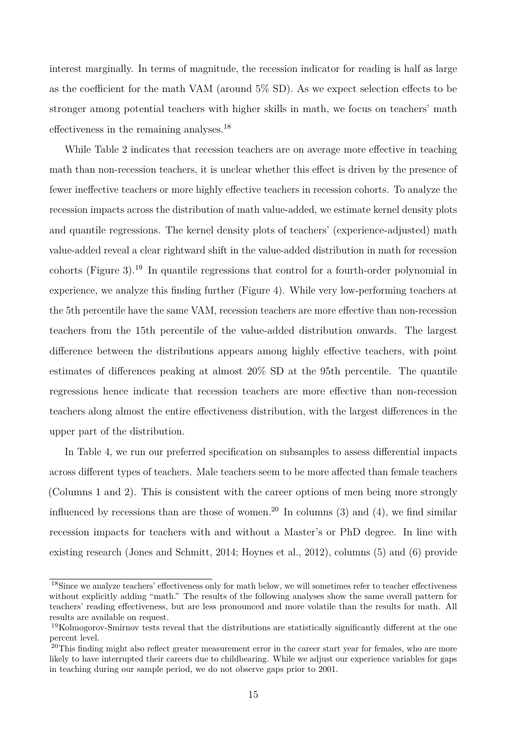interest marginally. In terms of magnitude, the recession indicator for reading is half as large as the coefficient for the math VAM (around 5% SD). As we expect selection effects to be stronger among potential teachers with higher skills in math, we focus on teachers' math effectiveness in the remaining analyses.<sup>18</sup>

While Table 2 indicates that recession teachers are on average more effective in teaching math than non-recession teachers, it is unclear whether this effect is driven by the presence of fewer ineffective teachers or more highly effective teachers in recession cohorts. To analyze the recession impacts across the distribution of math value-added, we estimate kernel density plots and quantile regressions. The kernel density plots of teachers' (experience-adjusted) math value-added reveal a clear rightward shift in the value-added distribution in math for recession cohorts (Figure 3).<sup>19</sup> In quantile regressions that control for a fourth-order polynomial in experience, we analyze this finding further (Figure 4). While very low-performing teachers at the 5th percentile have the same VAM, recession teachers are more effective than non-recession teachers from the 15th percentile of the value-added distribution onwards. The largest difference between the distributions appears among highly effective teachers, with point estimates of differences peaking at almost 20% SD at the 95th percentile. The quantile regressions hence indicate that recession teachers are more effective than non-recession teachers along almost the entire effectiveness distribution, with the largest differences in the upper part of the distribution.

In Table 4, we run our preferred specification on subsamples to assess differential impacts across different types of teachers. Male teachers seem to be more affected than female teachers (Columns 1 and 2). This is consistent with the career options of men being more strongly influenced by recessions than are those of women.<sup>20</sup> In columns (3) and (4), we find similar recession impacts for teachers with and without a Master's or PhD degree. In line with existing research (Jones and Schmitt, 2014; Hoynes et al., 2012), columns (5) and (6) provide

<sup>&</sup>lt;sup>18</sup>Since we analyze teachers' effectiveness only for math below, we will sometimes refer to teacher effectiveness without explicitly adding "math." The results of the following analyses show the same overall pattern for teachers' reading effectiveness, but are less pronounced and more volatile than the results for math. All results are available on request.

<sup>19</sup>Kolmogorov-Smirnov tests reveal that the distributions are statistically significantly different at the one percent level.

<sup>&</sup>lt;sup>20</sup>This finding might also reflect greater measurement error in the career start year for females, who are more likely to have interrupted their careers due to childbearing. While we adjust our experience variables for gaps in teaching during our sample period, we do not observe gaps prior to 2001.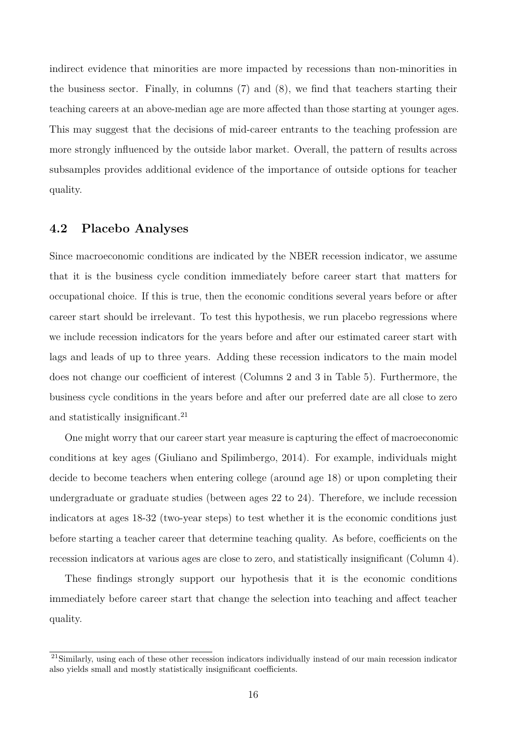indirect evidence that minorities are more impacted by recessions than non-minorities in the business sector. Finally, in columns (7) and (8), we find that teachers starting their teaching careers at an above-median age are more affected than those starting at younger ages. This may suggest that the decisions of mid-career entrants to the teaching profession are more strongly influenced by the outside labor market. Overall, the pattern of results across subsamples provides additional evidence of the importance of outside options for teacher quality.

#### **4.2 Placebo Analyses**

Since macroeconomic conditions are indicated by the NBER recession indicator, we assume that it is the business cycle condition immediately before career start that matters for occupational choice. If this is true, then the economic conditions several years before or after career start should be irrelevant. To test this hypothesis, we run placebo regressions where we include recession indicators for the years before and after our estimated career start with lags and leads of up to three years. Adding these recession indicators to the main model does not change our coefficient of interest (Columns 2 and 3 in Table 5). Furthermore, the business cycle conditions in the years before and after our preferred date are all close to zero and statistically insignificant.<sup>21</sup>

One might worry that our career start year measure is capturing the effect of macroeconomic conditions at key ages (Giuliano and Spilimbergo, 2014). For example, individuals might decide to become teachers when entering college (around age 18) or upon completing their undergraduate or graduate studies (between ages 22 to 24). Therefore, we include recession indicators at ages 18-32 (two-year steps) to test whether it is the economic conditions just before starting a teacher career that determine teaching quality. As before, coefficients on the recession indicators at various ages are close to zero, and statistically insignificant (Column 4).

These findings strongly support our hypothesis that it is the economic conditions immediately before career start that change the selection into teaching and affect teacher quality.

<sup>&</sup>lt;sup>21</sup>Similarly, using each of these other recession indicators individually instead of our main recession indicator also yields small and mostly statistically insignificant coefficients.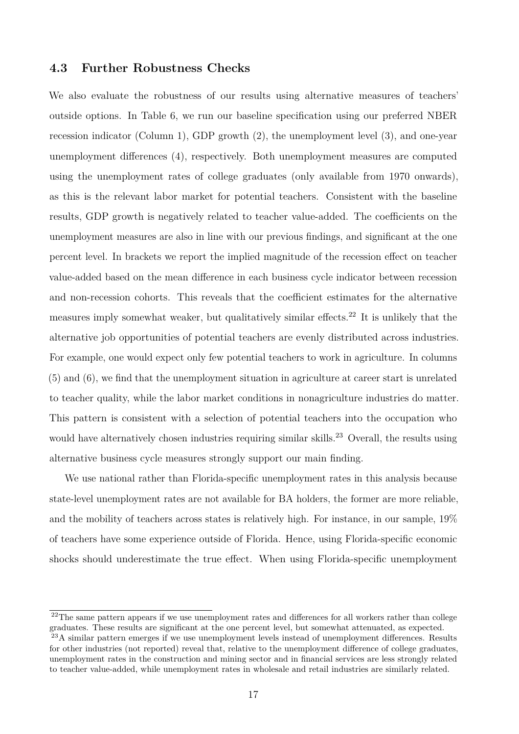#### **4.3 Further Robustness Checks**

We also evaluate the robustness of our results using alternative measures of teachers' outside options. In Table 6, we run our baseline specification using our preferred NBER recession indicator (Column 1), GDP growth (2), the unemployment level (3), and one-year unemployment differences (4), respectively. Both unemployment measures are computed using the unemployment rates of college graduates (only available from 1970 onwards), as this is the relevant labor market for potential teachers. Consistent with the baseline results, GDP growth is negatively related to teacher value-added. The coefficients on the unemployment measures are also in line with our previous findings, and significant at the one percent level. In brackets we report the implied magnitude of the recession effect on teacher value-added based on the mean difference in each business cycle indicator between recession and non-recession cohorts. This reveals that the coefficient estimates for the alternative measures imply somewhat weaker, but qualitatively similar effects.<sup>22</sup> It is unlikely that the alternative job opportunities of potential teachers are evenly distributed across industries. For example, one would expect only few potential teachers to work in agriculture. In columns (5) and (6), we find that the unemployment situation in agriculture at career start is unrelated to teacher quality, while the labor market conditions in nonagriculture industries do matter. This pattern is consistent with a selection of potential teachers into the occupation who would have alternatively chosen industries requiring similar skills.<sup>23</sup> Overall, the results using alternative business cycle measures strongly support our main finding.

We use national rather than Florida-specific unemployment rates in this analysis because state-level unemployment rates are not available for BA holders, the former are more reliable, and the mobility of teachers across states is relatively high. For instance, in our sample, 19% of teachers have some experience outside of Florida. Hence, using Florida-specific economic shocks should underestimate the true effect. When using Florida-specific unemployment

<sup>&</sup>lt;sup>22</sup>The same pattern appears if we use unemployment rates and differences for all workers rather than college graduates. These results are significant at the one percent level, but somewhat attenuated, as expected. <sup>23</sup>A similar pattern emerges if we use unemployment levels instead of unemployment differences. Results for other industries (not reported) reveal that, relative to the unemployment difference of college graduates, unemployment rates in the construction and mining sector and in financial services are less strongly related to teacher value-added, while unemployment rates in wholesale and retail industries are similarly related.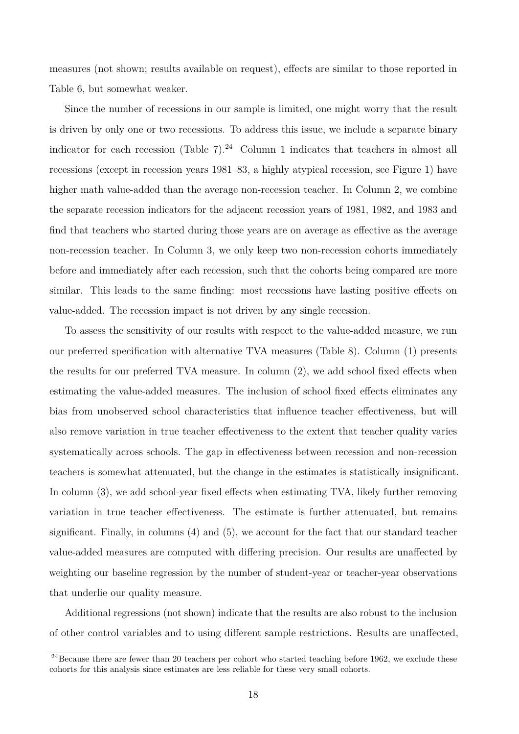measures (not shown; results available on request), effects are similar to those reported in Table 6, but somewhat weaker.

Since the number of recessions in our sample is limited, one might worry that the result is driven by only one or two recessions. To address this issue, we include a separate binary indicator for each recession (Table 7).<sup>24</sup> Column 1 indicates that teachers in almost all recessions (except in recession years 1981–83, a highly atypical recession, see Figure 1) have higher math value-added than the average non-recession teacher. In Column 2, we combine the separate recession indicators for the adjacent recession years of 1981, 1982, and 1983 and find that teachers who started during those years are on average as effective as the average non-recession teacher. In Column 3, we only keep two non-recession cohorts immediately before and immediately after each recession, such that the cohorts being compared are more similar. This leads to the same finding: most recessions have lasting positive effects on value-added. The recession impact is not driven by any single recession.

To assess the sensitivity of our results with respect to the value-added measure, we run our preferred specification with alternative TVA measures (Table 8). Column (1) presents the results for our preferred TVA measure. In column (2), we add school fixed effects when estimating the value-added measures. The inclusion of school fixed effects eliminates any bias from unobserved school characteristics that influence teacher effectiveness, but will also remove variation in true teacher effectiveness to the extent that teacher quality varies systematically across schools. The gap in effectiveness between recession and non-recession teachers is somewhat attenuated, but the change in the estimates is statistically insignificant. In column (3), we add school-year fixed effects when estimating TVA, likely further removing variation in true teacher effectiveness. The estimate is further attenuated, but remains significant. Finally, in columns (4) and (5), we account for the fact that our standard teacher value-added measures are computed with differing precision. Our results are unaffected by weighting our baseline regression by the number of student-year or teacher-year observations that underlie our quality measure.

Additional regressions (not shown) indicate that the results are also robust to the inclusion of other control variables and to using different sample restrictions. Results are unaffected,

 $^{24}$ Because there are fewer than 20 teachers per cohort who started teaching before 1962, we exclude these cohorts for this analysis since estimates are less reliable for these very small cohorts.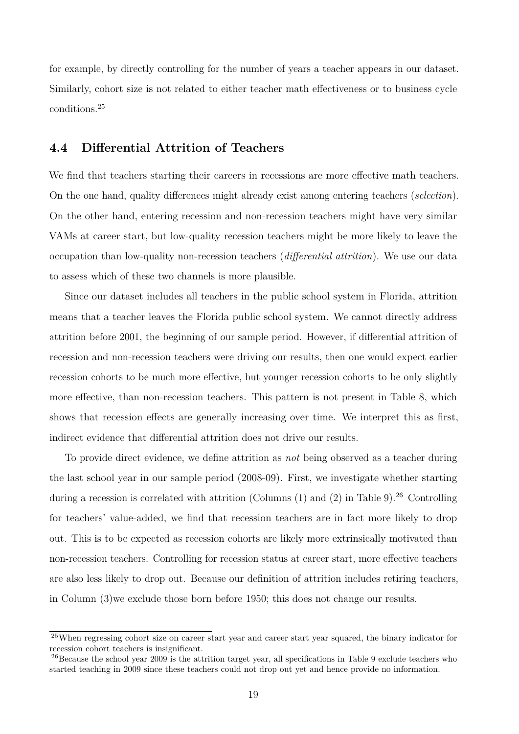for example, by directly controlling for the number of years a teacher appears in our dataset. Similarly, cohort size is not related to either teacher math effectiveness or to business cycle conditions.<sup>25</sup>

#### **4.4 Differential Attrition of Teachers**

We find that teachers starting their careers in recessions are more effective math teachers. On the one hand, quality differences might already exist among entering teachers (*selection*). On the other hand, entering recession and non-recession teachers might have very similar VAMs at career start, but low-quality recession teachers might be more likely to leave the occupation than low-quality non-recession teachers (*differential attrition*). We use our data to assess which of these two channels is more plausible.

Since our dataset includes all teachers in the public school system in Florida, attrition means that a teacher leaves the Florida public school system. We cannot directly address attrition before 2001, the beginning of our sample period. However, if differential attrition of recession and non-recession teachers were driving our results, then one would expect earlier recession cohorts to be much more effective, but younger recession cohorts to be only slightly more effective, than non-recession teachers. This pattern is not present in Table 8, which shows that recession effects are generally increasing over time. We interpret this as first, indirect evidence that differential attrition does not drive our results.

To provide direct evidence, we define attrition as *not* being observed as a teacher during the last school year in our sample period (2008-09). First, we investigate whether starting during a recession is correlated with attrition (Columns  $(1)$  and  $(2)$  in Table 9).<sup>26</sup> Controlling for teachers' value-added, we find that recession teachers are in fact more likely to drop out. This is to be expected as recession cohorts are likely more extrinsically motivated than non-recession teachers. Controlling for recession status at career start, more effective teachers are also less likely to drop out. Because our definition of attrition includes retiring teachers, in Column (3)we exclude those born before 1950; this does not change our results.

<sup>25</sup>When regressing cohort size on career start year and career start year squared, the binary indicator for recession cohort teachers is insignificant.

<sup>&</sup>lt;sup>26</sup>Because the school year 2009 is the attrition target year, all specifications in Table 9 exclude teachers who started teaching in 2009 since these teachers could not drop out yet and hence provide no information.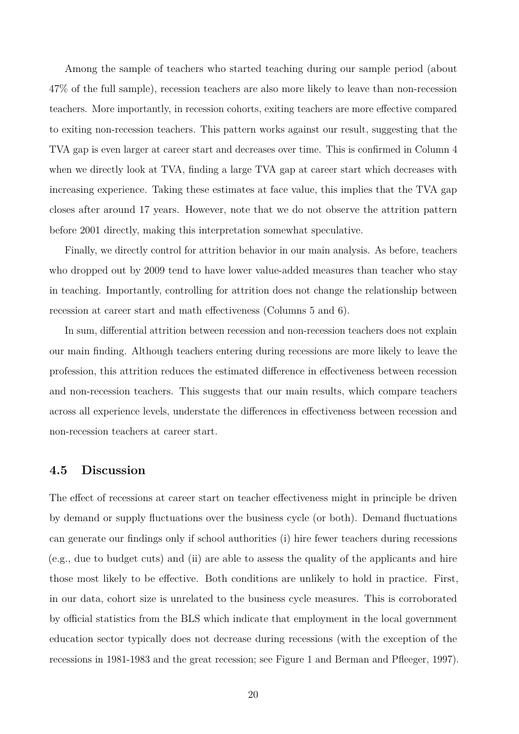Among the sample of teachers who started teaching during our sample period (about 47% of the full sample), recession teachers are also more likely to leave than non-recession teachers. More importantly, in recession cohorts, exiting teachers are more effective compared to exiting non-recession teachers. This pattern works against our result, suggesting that the TVA gap is even larger at career start and decreases over time. This is confirmed in Column 4 when we directly look at TVA, finding a large TVA gap at career start which decreases with increasing experience. Taking these estimates at face value, this implies that the TVA gap closes after around 17 years. However, note that we do not observe the attrition pattern before 2001 directly, making this interpretation somewhat speculative.

Finally, we directly control for attrition behavior in our main analysis. As before, teachers who dropped out by 2009 tend to have lower value-added measures than teacher who stay in teaching. Importantly, controlling for attrition does not change the relationship between recession at career start and math effectiveness (Columns 5 and 6).

In sum, differential attrition between recession and non-recession teachers does not explain our main finding. Although teachers entering during recessions are more likely to leave the profession, this attrition reduces the estimated difference in effectiveness between recession and non-recession teachers. This suggests that our main results, which compare teachers across all experience levels, understate the differences in effectiveness between recession and non-recession teachers at career start.

#### **4.5 Discussion**

The effect of recessions at career start on teacher effectiveness might in principle be driven by demand or supply fluctuations over the business cycle (or both). Demand fluctuations can generate our findings only if school authorities (i) hire fewer teachers during recessions (e.g., due to budget cuts) and (ii) are able to assess the quality of the applicants and hire those most likely to be effective. Both conditions are unlikely to hold in practice. First, in our data, cohort size is unrelated to the business cycle measures. This is corroborated by official statistics from the BLS which indicate that employment in the local government education sector typically does not decrease during recessions (with the exception of the recessions in 1981-1983 and the great recession; see Figure 1 and Berman and Pfleeger, 1997).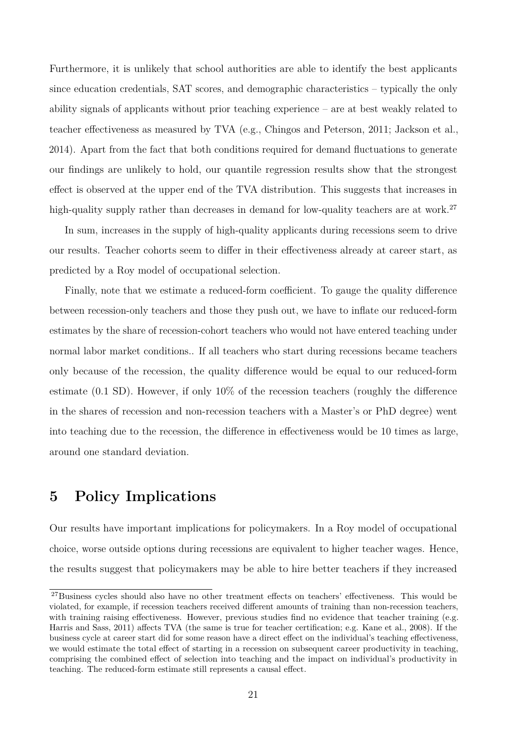Furthermore, it is unlikely that school authorities are able to identify the best applicants since education credentials, SAT scores, and demographic characteristics – typically the only ability signals of applicants without prior teaching experience – are at best weakly related to teacher effectiveness as measured by TVA (e.g., Chingos and Peterson, 2011; Jackson et al., 2014). Apart from the fact that both conditions required for demand fluctuations to generate our findings are unlikely to hold, our quantile regression results show that the strongest effect is observed at the upper end of the TVA distribution. This suggests that increases in high-quality supply rather than decreases in demand for low-quality teachers are at work.<sup>27</sup>

In sum, increases in the supply of high-quality applicants during recessions seem to drive our results. Teacher cohorts seem to differ in their effectiveness already at career start, as predicted by a Roy model of occupational selection.

Finally, note that we estimate a reduced-form coefficient. To gauge the quality difference between recession-only teachers and those they push out, we have to inflate our reduced-form estimates by the share of recession-cohort teachers who would not have entered teaching under normal labor market conditions.. If all teachers who start during recessions became teachers only because of the recession, the quality difference would be equal to our reduced-form estimate (0.1 SD). However, if only 10% of the recession teachers (roughly the difference in the shares of recession and non-recession teachers with a Master's or PhD degree) went into teaching due to the recession, the difference in effectiveness would be 10 times as large, around one standard deviation.

# **5 Policy Implications**

Our results have important implications for policymakers. In a Roy model of occupational choice, worse outside options during recessions are equivalent to higher teacher wages. Hence, the results suggest that policymakers may be able to hire better teachers if they increased

<sup>&</sup>lt;sup>27</sup>Business cycles should also have no other treatment effects on teachers' effectiveness. This would be violated, for example, if recession teachers received different amounts of training than non-recession teachers, with training raising effectiveness. However, previous studies find no evidence that teacher training (e.g. Harris and Sass, 2011) affects TVA (the same is true for teacher certification; e.g. Kane et al., 2008). If the business cycle at career start did for some reason have a direct effect on the individual's teaching effectiveness, we would estimate the total effect of starting in a recession on subsequent career productivity in teaching, comprising the combined effect of selection into teaching and the impact on individual's productivity in teaching. The reduced-form estimate still represents a causal effect.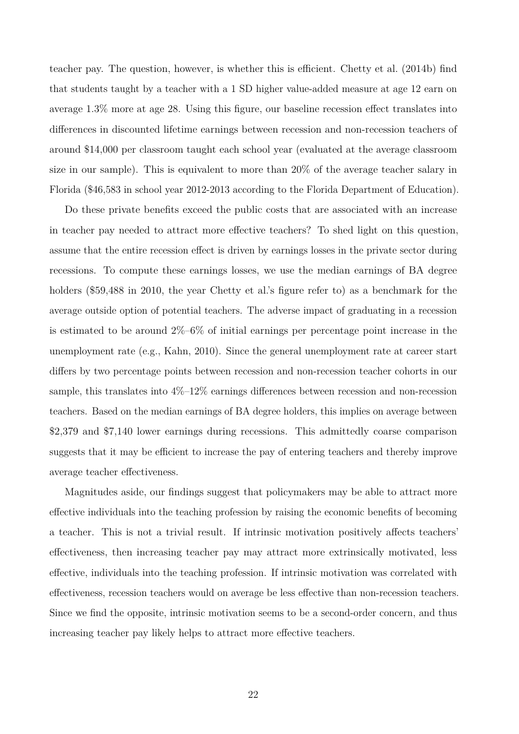teacher pay. The question, however, is whether this is efficient. Chetty et al. (2014b) find that students taught by a teacher with a 1 SD higher value-added measure at age 12 earn on average 1.3% more at age 28. Using this figure, our baseline recession effect translates into differences in discounted lifetime earnings between recession and non-recession teachers of around \$14,000 per classroom taught each school year (evaluated at the average classroom size in our sample). This is equivalent to more than 20% of the average teacher salary in Florida (\$46,583 in school year 2012-2013 according to the Florida Department of Education).

Do these private benefits exceed the public costs that are associated with an increase in teacher pay needed to attract more effective teachers? To shed light on this question, assume that the entire recession effect is driven by earnings losses in the private sector during recessions. To compute these earnings losses, we use the median earnings of BA degree holders (\$59,488 in 2010, the year Chetty et al.'s figure refer to) as a benchmark for the average outside option of potential teachers. The adverse impact of graduating in a recession is estimated to be around 2%–6% of initial earnings per percentage point increase in the unemployment rate (e.g., Kahn, 2010). Since the general unemployment rate at career start differs by two percentage points between recession and non-recession teacher cohorts in our sample, this translates into  $4\%$ – $12\%$  earnings differences between recession and non-recession teachers. Based on the median earnings of BA degree holders, this implies on average between \$2,379 and \$7,140 lower earnings during recessions. This admittedly coarse comparison suggests that it may be efficient to increase the pay of entering teachers and thereby improve average teacher effectiveness.

Magnitudes aside, our findings suggest that policymakers may be able to attract more effective individuals into the teaching profession by raising the economic benefits of becoming a teacher. This is not a trivial result. If intrinsic motivation positively affects teachers' effectiveness, then increasing teacher pay may attract more extrinsically motivated, less effective, individuals into the teaching profession. If intrinsic motivation was correlated with effectiveness, recession teachers would on average be less effective than non-recession teachers. Since we find the opposite, intrinsic motivation seems to be a second-order concern, and thus increasing teacher pay likely helps to attract more effective teachers.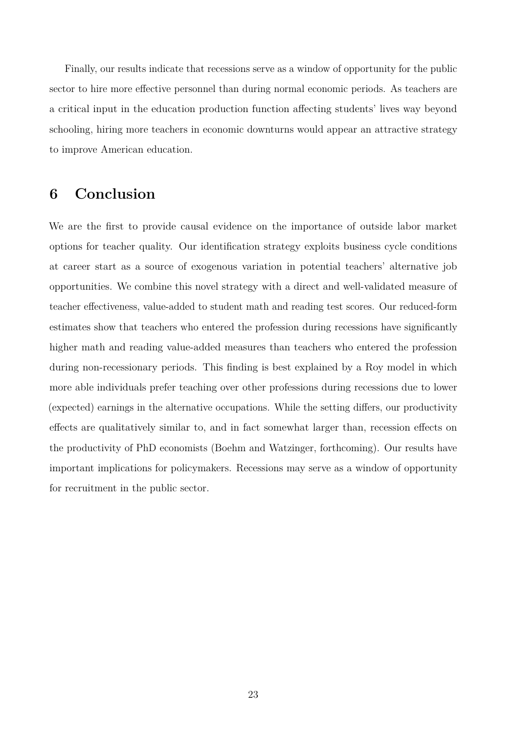Finally, our results indicate that recessions serve as a window of opportunity for the public sector to hire more effective personnel than during normal economic periods. As teachers are a critical input in the education production function affecting students' lives way beyond schooling, hiring more teachers in economic downturns would appear an attractive strategy to improve American education.

## **6 Conclusion**

We are the first to provide causal evidence on the importance of outside labor market options for teacher quality. Our identification strategy exploits business cycle conditions at career start as a source of exogenous variation in potential teachers' alternative job opportunities. We combine this novel strategy with a direct and well-validated measure of teacher effectiveness, value-added to student math and reading test scores. Our reduced-form estimates show that teachers who entered the profession during recessions have significantly higher math and reading value-added measures than teachers who entered the profession during non-recessionary periods. This finding is best explained by a Roy model in which more able individuals prefer teaching over other professions during recessions due to lower (expected) earnings in the alternative occupations. While the setting differs, our productivity effects are qualitatively similar to, and in fact somewhat larger than, recession effects on the productivity of PhD economists (Boehm and Watzinger, forthcoming). Our results have important implications for policymakers. Recessions may serve as a window of opportunity for recruitment in the public sector.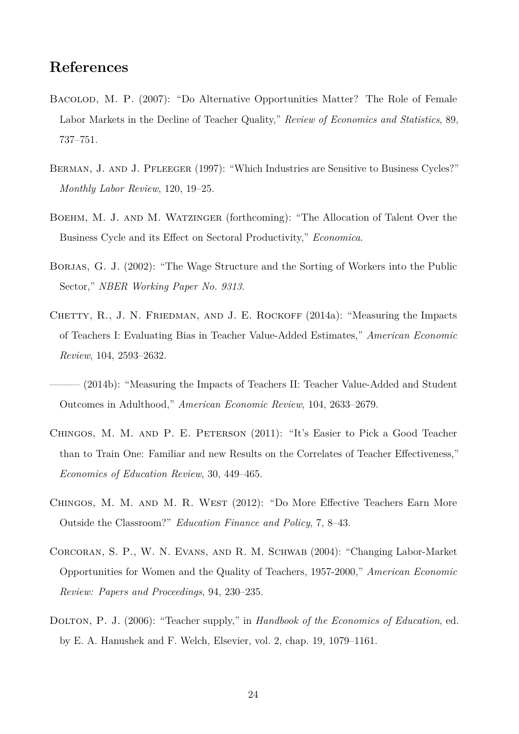# **References**

- Bacolod, M. P. (2007): "Do Alternative Opportunities Matter? The Role of Female Labor Markets in the Decline of Teacher Quality," *Review of Economics and Statistics*, 89, 737–751.
- BERMAN, J. AND J. PFLEEGER (1997): "Which Industries are Sensitive to Business Cycles?" *Monthly Labor Review*, 120, 19–25.
- Boehm, M. J. and M. Watzinger (forthcoming): "The Allocation of Talent Over the Business Cycle and its Effect on Sectoral Productivity," *Economica*.
- BORJAS, G. J. (2002): "The Wage Structure and the Sorting of Workers into the Public Sector," *NBER Working Paper No. 9313*.
- CHETTY, R., J. N. FRIEDMAN, AND J. E. ROCKOFF (2014a): "Measuring the Impacts of Teachers I: Evaluating Bias in Teacher Value-Added Estimates," *American Economic Review*, 104, 2593–2632.
- (2014b): "Measuring the Impacts of Teachers II: Teacher Value-Added and Student Outcomes in Adulthood," *American Economic Review*, 104, 2633–2679.
- Chingos, M. M. and P. E. Peterson (2011): "It's Easier to Pick a Good Teacher than to Train One: Familiar and new Results on the Correlates of Teacher Effectiveness," *Economics of Education Review*, 30, 449–465.
- Chingos, M. M. and M. R. West (2012): "Do More Effective Teachers Earn More Outside the Classroom?" *Education Finance and Policy*, 7, 8–43.
- Corcoran, S. P., W. N. Evans, and R. M. Schwab (2004): "Changing Labor-Market Opportunities for Women and the Quality of Teachers, 1957-2000," *American Economic Review: Papers and Proceedings*, 94, 230–235.
- Dolton, P. J. (2006): "Teacher supply," in *Handbook of the Economics of Education*, ed. by E. A. Hanushek and F. Welch, Elsevier, vol. 2, chap. 19, 1079–1161.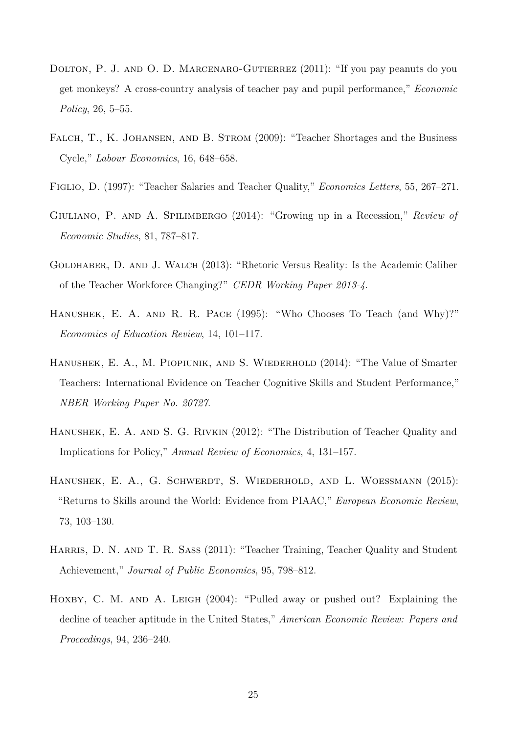- DOLTON, P. J. AND O. D. MARCENARO-GUTIERREZ (2011): "If you pay peanuts do you get monkeys? A cross-country analysis of teacher pay and pupil performance," *Economic Policy*, 26, 5–55.
- FALCH, T., K. JOHANSEN, AND B. STROM (2009): "Teacher Shortages and the Business Cycle," *Labour Economics*, 16, 648–658.
- Figlio, D. (1997): "Teacher Salaries and Teacher Quality," *Economics Letters*, 55, 267–271.
- Giuliano, P. and A. Spilimbergo (2014): "Growing up in a Recession," *Review of Economic Studies*, 81, 787–817.
- GOLDHABER, D. AND J. WALCH (2013): "Rhetoric Versus Reality: Is the Academic Caliber of the Teacher Workforce Changing?" *CEDR Working Paper 2013-4*.
- Hanushek, E. A. and R. R. Pace (1995): "Who Chooses To Teach (and Why)?" *Economics of Education Review*, 14, 101–117.
- Hanushek, E. A., M. Piopiunik, and S. Wiederhold (2014): "The Value of Smarter Teachers: International Evidence on Teacher Cognitive Skills and Student Performance," *NBER Working Paper No. 20727*.
- Hanushek, E. A. and S. G. Rivkin (2012): "The Distribution of Teacher Quality and Implications for Policy," *Annual Review of Economics*, 4, 131–157.
- Hanushek, E. A., G. Schwerdt, S. Wiederhold, and L. Woessmann (2015): "Returns to Skills around the World: Evidence from PIAAC," *European Economic Review*, 73, 103–130.
- Harris, D. N. and T. R. Sass (2011): "Teacher Training, Teacher Quality and Student Achievement," *Journal of Public Economics*, 95, 798–812.
- HOXBY, C. M. AND A. LEIGH (2004): "Pulled away or pushed out? Explaining the decline of teacher aptitude in the United States," *American Economic Review: Papers and Proceedings*, 94, 236–240.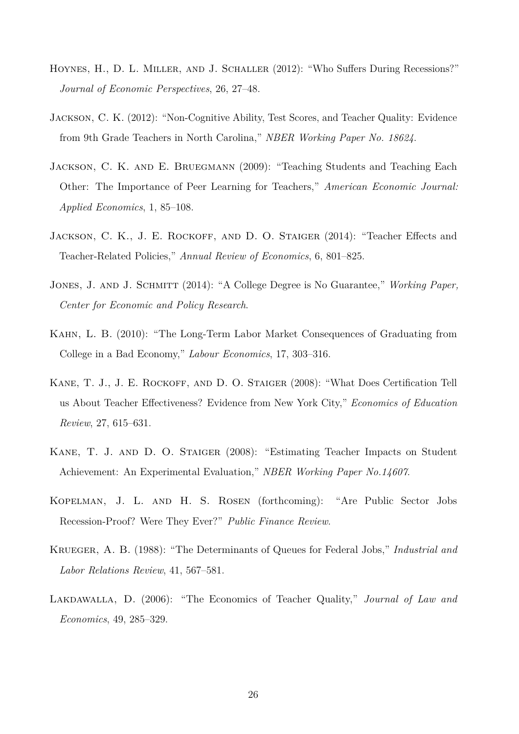- HOYNES, H., D. L. MILLER, AND J. SCHALLER (2012): "Who Suffers During Recessions?" *Journal of Economic Perspectives*, 26, 27–48.
- Jackson, C. K. (2012): "Non-Cognitive Ability, Test Scores, and Teacher Quality: Evidence from 9th Grade Teachers in North Carolina," *NBER Working Paper No. 18624*.
- Jackson, C. K. and E. Bruegmann (2009): "Teaching Students and Teaching Each Other: The Importance of Peer Learning for Teachers," *American Economic Journal: Applied Economics*, 1, 85–108.
- JACKSON, C. K., J. E. ROCKOFF, AND D. O. STAIGER (2014): "Teacher Effects and Teacher-Related Policies," *Annual Review of Economics*, 6, 801–825.
- Jones, J. and J. Schmitt (2014): "A College Degree is No Guarantee," *Working Paper, Center for Economic and Policy Research*.
- Kahn, L. B. (2010): "The Long-Term Labor Market Consequences of Graduating from College in a Bad Economy," *Labour Economics*, 17, 303–316.
- KANE, T. J., J. E. ROCKOFF, AND D. O. STAIGER (2008): "What Does Certification Tell us About Teacher Effectiveness? Evidence from New York City," *Economics of Education Review*, 27, 615–631.
- Kane, T. J. and D. O. Staiger (2008): "Estimating Teacher Impacts on Student Achievement: An Experimental Evaluation," *NBER Working Paper No.14607*.
- Kopelman, J. L. and H. S. Rosen (forthcoming): "Are Public Sector Jobs Recession-Proof? Were They Ever?" *Public Finance Review*.
- Krueger, A. B. (1988): "The Determinants of Queues for Federal Jobs," *Industrial and Labor Relations Review*, 41, 567–581.
- LAKDAWALLA, D. (2006): "The Economics of Teacher Quality," *Journal of Law and Economics*, 49, 285–329.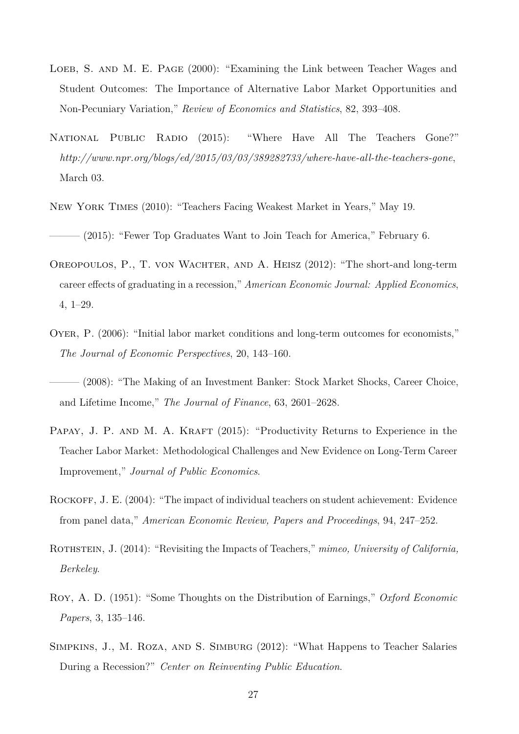- LOEB, S. AND M. E. PAGE (2000): "Examining the Link between Teacher Wages and Student Outcomes: The Importance of Alternative Labor Market Opportunities and Non-Pecuniary Variation," *Review of Economics and Statistics*, 82, 393–408.
- National Public Radio (2015): "Where Have All The Teachers Gone?" *http://www.npr.org/blogs/ed/2015/03/03/389282733/where-have-all-the-teachers-gone*, March 03.
- New York Times (2010): "Teachers Facing Weakest Market in Years," May 19.

– (2015): "Fewer Top Graduates Want to Join Teach for America," February 6.

- Oreopoulos, P., T. von Wachter, and A. Heisz (2012): "The short-and long-term career effects of graduating in a recession," *American Economic Journal: Applied Economics*, 4, 1–29.
- Oyer, P. (2006): "Initial labor market conditions and long-term outcomes for economists," *The Journal of Economic Perspectives*, 20, 143–160.
- ——— (2008): "The Making of an Investment Banker: Stock Market Shocks, Career Choice, and Lifetime Income," *The Journal of Finance*, 63, 2601–2628.
- PAPAY, J. P. AND M. A. KRAFT (2015): "Productivity Returns to Experience in the Teacher Labor Market: Methodological Challenges and New Evidence on Long-Term Career Improvement," *Journal of Public Economics*.
- ROCKOFF, J. E. (2004): "The impact of individual teachers on student achievement: Evidence from panel data," *American Economic Review, Papers and Proceedings*, 94, 247–252.
- ROTHSTEIN, J. (2014): "Revisiting the Impacts of Teachers," *mimeo, University of California*, *Berkeley*.
- Roy, A. D. (1951): "Some Thoughts on the Distribution of Earnings," *Oxford Economic Papers*, 3, 135–146.
- Simpkins, J., M. Roza, and S. Simburg (2012): "What Happens to Teacher Salaries During a Recession?" *Center on Reinventing Public Education*.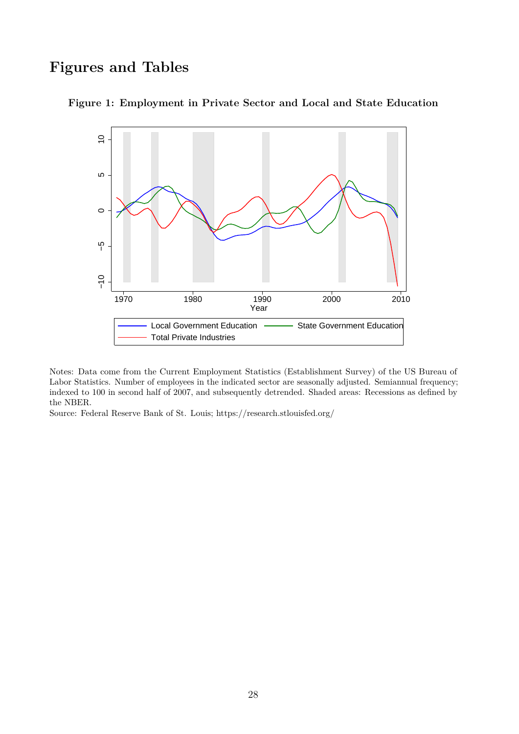# **Figures and Tables**



**Figure 1: Employment in Private Sector and Local and State Education**

Notes: Data come from the Current Employment Statistics (Establishment Survey) of the US Bureau of Labor Statistics. Number of employees in the indicated sector are seasonally adjusted. Semiannual frequency; indexed to 100 in second half of 2007, and subsequently detrended. Shaded areas: Recessions as defined by the NBER.

Source: Federal Reserve Bank of St. Louis; https://research.stlouisfed.org/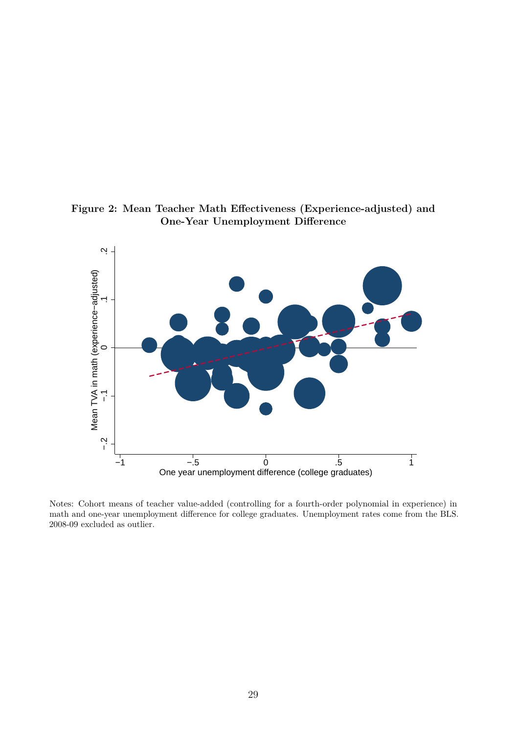**Figure 2: Mean Teacher Math Effectiveness (Experience-adjusted) and One-Year Unemployment Difference**



Notes: Cohort means of teacher value-added (controlling for a fourth-order polynomial in experience) in math and one-year unemployment difference for college graduates. Unemployment rates come from the BLS. 2008-09 excluded as outlier.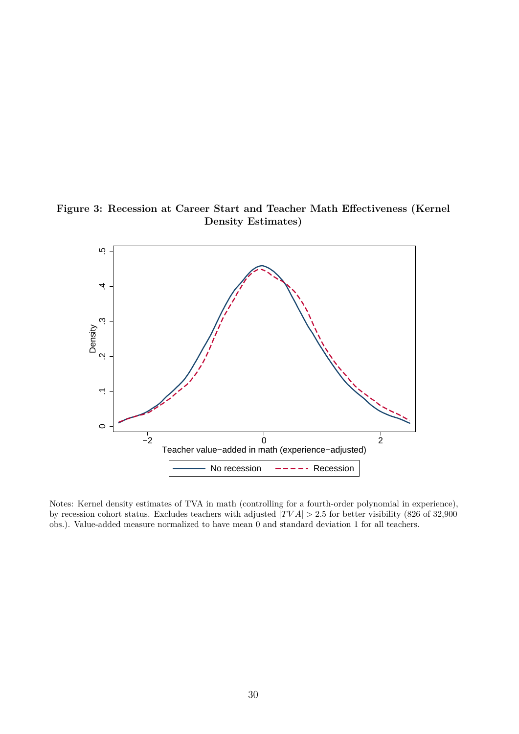**Figure 3: Recession at Career Start and Teacher Math Effectiveness (Kernel Density Estimates)**



Notes: Kernel density estimates of TVA in math (controlling for a fourth-order polynomial in experience), by recession cohort status. Excludes teachers with adjusted |*T V A*| *>* 2*.*5 for better visibility (826 of 32,900 obs.). Value-added measure normalized to have mean 0 and standard deviation 1 for all teachers.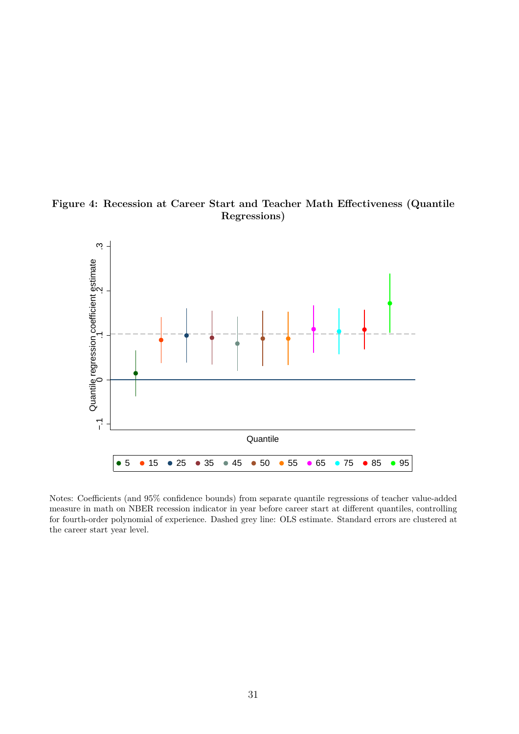



Notes: Coefficients (and 95% confidence bounds) from separate quantile regressions of teacher value-added measure in math on NBER recession indicator in year before career start at different quantiles, controlling for fourth-order polynomial of experience. Dashed grey line: OLS estimate. Standard errors are clustered at the career start year level.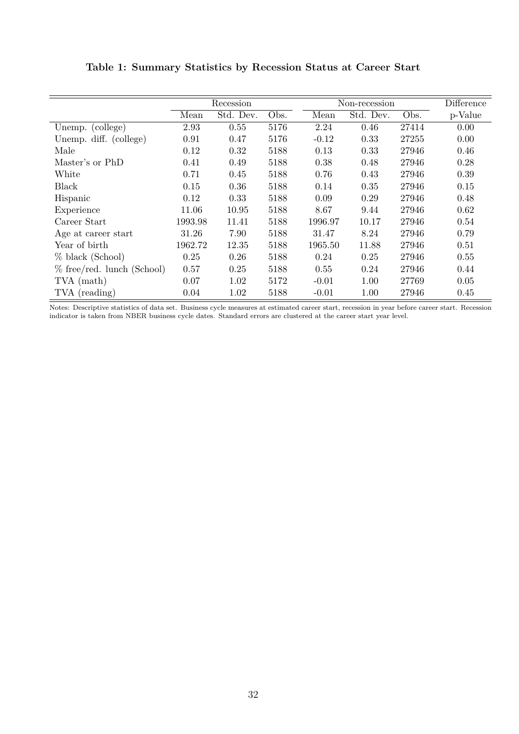|                              |         | Recession |      |         | Non-recession |       | Difference |
|------------------------------|---------|-----------|------|---------|---------------|-------|------------|
|                              | Mean    | Std. Dev. | Obs. | Mean    | Std. Dev.     | Obs.  | p-Value    |
| (college)<br>Unemp.          | 2.93    | 0.55      | 5176 | 2.24    | 0.46          | 27414 | 0.00       |
| Unemp. diff. (college)       | 0.91    | 0.47      | 5176 | $-0.12$ | 0.33          | 27255 | 0.00       |
| Male                         | 0.12    | 0.32      | 5188 | 0.13    | 0.33          | 27946 | 0.46       |
| Master's or PhD              | 0.41    | 0.49      | 5188 | 0.38    | 0.48          | 27946 | 0.28       |
| White                        | 0.71    | 0.45      | 5188 | 0.76    | 0.43          | 27946 | 0.39       |
| <b>Black</b>                 | 0.15    | 0.36      | 5188 | 0.14    | 0.35          | 27946 | 0.15       |
| Hispanic                     | 0.12    | 0.33      | 5188 | 0.09    | 0.29          | 27946 | 0.48       |
| Experience                   | 11.06   | 10.95     | 5188 | 8.67    | 9.44          | 27946 | 0.62       |
| Career Start                 | 1993.98 | 11.41     | 5188 | 1996.97 | 10.17         | 27946 | 0.54       |
| Age at career start          | 31.26   | 7.90      | 5188 | 31.47   | 8.24          | 27946 | 0.79       |
| Year of birth                | 1962.72 | 12.35     | 5188 | 1965.50 | 11.88         | 27946 | 0.51       |
| % black (School)             | 0.25    | 0.26      | 5188 | 0.24    | 0.25          | 27946 | 0.55       |
| $%$ free/red. lunch (School) | 0.57    | 0.25      | 5188 | 0.55    | 0.24          | 27946 | 0.44       |
| TVA (math)                   | 0.07    | 1.02      | 5172 | $-0.01$ | 1.00          | 27769 | 0.05       |
| TVA (reading)                | 0.04    | 1.02      | 5188 | $-0.01$ | 1.00          | 27946 | 0.45       |

#### **Table 1: Summary Statistics by Recession Status at Career Start**

Notes: Descriptive statistics of data set. Business cycle measures at estimated career start, recession in year before career start. Recession indicator is taken from NBER business cycle dates. Standard errors are clustered at the career start year level.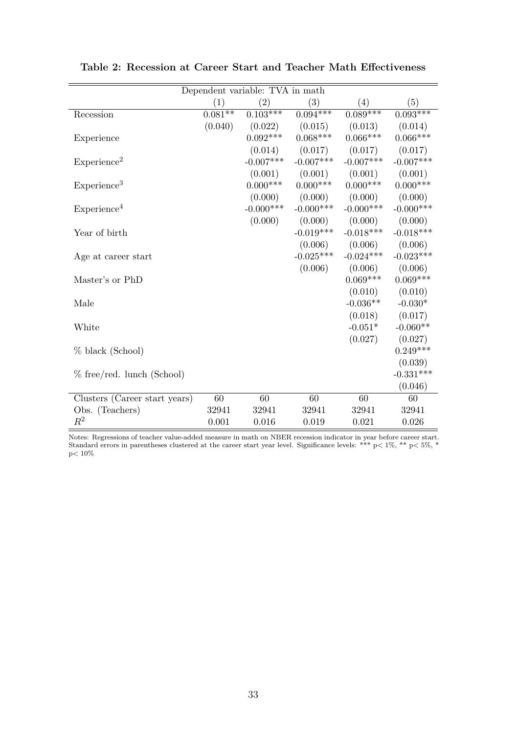| Dependent variable: TVA in math |                   |                   |                   |                  |             |  |  |  |
|---------------------------------|-------------------|-------------------|-------------------|------------------|-------------|--|--|--|
|                                 | $\left( 1\right)$ | $\left( 2\right)$ | $\left( 3\right)$ | $\left(4\right)$ | (5)         |  |  |  |
| Recession                       | $0.081**$         | $0.103***$        | $0.094***$        | $0.089***$       | $0.093***$  |  |  |  |
|                                 | (0.040)           | (0.022)           | (0.015)           | (0.013)          | (0.014)     |  |  |  |
| Experience                      |                   | $0.092***$        | $0.068***$        | $0.066***$       | $0.066***$  |  |  |  |
|                                 |                   | (0.014)           | (0.017)           | (0.017)          | (0.017)     |  |  |  |
| Experience <sup>2</sup>         |                   | $-0.007***$       | $-0.007***$       | $-0.007***$      | $-0.007***$ |  |  |  |
|                                 |                   | (0.001)           | (0.001)           | (0.001)          | (0.001)     |  |  |  |
| Experience <sup>3</sup>         |                   | $0.000***$        | $0.000***$        | $0.000***$       | $0.000***$  |  |  |  |
|                                 |                   | (0.000)           | (0.000)           | (0.000)          | (0.000)     |  |  |  |
| Experience <sup>4</sup>         |                   | $-0.000***$       | $-0.000$ ***      | $-0.000$ ***     | $-0.000***$ |  |  |  |
|                                 |                   | (0.000)           | (0.000)           | (0.000)          | (0.000)     |  |  |  |
| Year of birth                   |                   |                   | $-0.019***$       | $-0.018***$      | $-0.018***$ |  |  |  |
|                                 |                   |                   | (0.006)           | (0.006)          | (0.006)     |  |  |  |
| Age at career start             |                   |                   | $-0.025***$       | $-0.024***$      | $-0.023***$ |  |  |  |
|                                 |                   |                   | (0.006)           | (0.006)          | (0.006)     |  |  |  |
| Master's or PhD                 |                   |                   |                   | $0.069***$       | $0.069***$  |  |  |  |
|                                 |                   |                   |                   | (0.010)          | (0.010)     |  |  |  |
| Male                            |                   |                   |                   | $-0.036**$       | $-0.030*$   |  |  |  |
|                                 |                   |                   |                   | (0.018)          | (0.017)     |  |  |  |
| White                           |                   |                   |                   | $-0.051*$        | $-0.060**$  |  |  |  |
|                                 |                   |                   |                   | (0.027)          | (0.027)     |  |  |  |
| % black (School)                |                   |                   |                   |                  | $0.249***$  |  |  |  |
|                                 |                   |                   |                   |                  | (0.039)     |  |  |  |
| % free/red. lunch (School)      |                   |                   |                   |                  | $-0.331***$ |  |  |  |
|                                 |                   |                   |                   |                  | (0.046)     |  |  |  |
| Clusters (Career start years)   | 60                | 60                | 60                | 60               | 60          |  |  |  |
| Obs. (Teachers)                 | 32941             | 32941             | 32941             | 32941            | 32941       |  |  |  |
| $\mathbb{R}^2$                  | 0.001             | 0.016             | 0.019             | 0.021            | 0.026       |  |  |  |

**Table 2: Recession at Career Start and Teacher Math Effectiveness**

Notes: Regressions of teacher value-added measure in math on NBER recession indicator in year before career start. Standard errors in parentheses clustered at the career start year level. Significance levels: \*\*\* p*<* 1%, \*\* p*<* 5%, \* p*<* 10%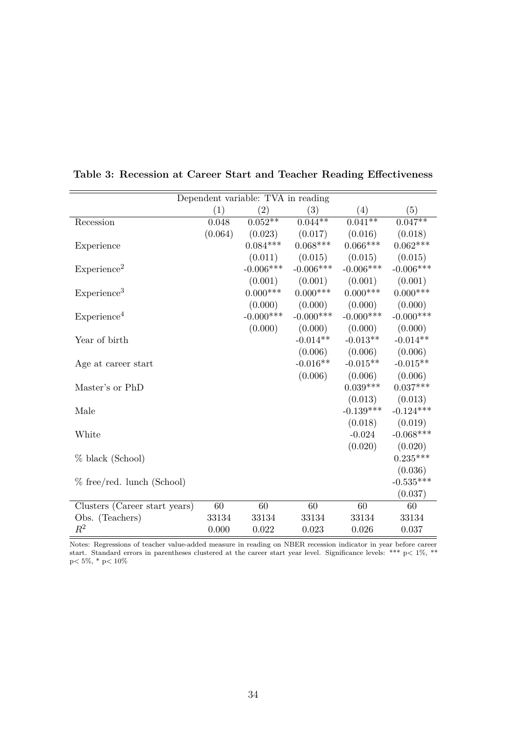|                               | Dependent variable: TVA in reading |              |              |             |              |  |  |  |  |
|-------------------------------|------------------------------------|--------------|--------------|-------------|--------------|--|--|--|--|
|                               | (1)                                | (2)          | (3)          | (4)         | (5)          |  |  |  |  |
| Recession                     | 0.048                              | $0.052**$    | $0.044***$   | $0.041**$   | $0.047**$    |  |  |  |  |
|                               | (0.064)                            | (0.023)      | (0.017)      | (0.016)     | (0.018)      |  |  |  |  |
| Experience                    |                                    | $0.084***$   | $0.068***$   | $0.066***$  | $0.062***$   |  |  |  |  |
|                               |                                    | (0.011)      | (0.015)      | (0.015)     | (0.015)      |  |  |  |  |
| Experience <sup>2</sup>       |                                    | $-0.006***$  | $-0.006***$  | $-0.006***$ | $-0.006***$  |  |  |  |  |
|                               |                                    | (0.001)      | (0.001)      | (0.001)     | (0.001)      |  |  |  |  |
| Experience <sup>3</sup>       |                                    | $0.000***$   | $0.000***$   | $0.000***$  | $0.000***$   |  |  |  |  |
|                               |                                    | (0.000)      | (0.000)      | (0.000)     | (0.000)      |  |  |  |  |
| Experience <sup>4</sup>       |                                    | $-0.000$ *** | $-0.000$ *** | $-0.000***$ | $-0.000$ *** |  |  |  |  |
|                               |                                    | (0.000)      | (0.000)      | (0.000)     | (0.000)      |  |  |  |  |
| Year of birth                 |                                    |              | $-0.014**$   | $-0.013**$  | $-0.014**$   |  |  |  |  |
|                               |                                    |              | (0.006)      | (0.006)     | (0.006)      |  |  |  |  |
| Age at career start           |                                    |              | $-0.016**$   | $-0.015**$  | $-0.015**$   |  |  |  |  |
|                               |                                    |              | (0.006)      | (0.006)     | (0.006)      |  |  |  |  |
| Master's or PhD               |                                    |              |              | $0.039***$  | $0.037***$   |  |  |  |  |
|                               |                                    |              |              | (0.013)     | (0.013)      |  |  |  |  |
| Male                          |                                    |              |              | $-0.139***$ | $-0.124***$  |  |  |  |  |
|                               |                                    |              |              | (0.018)     | (0.019)      |  |  |  |  |
| White                         |                                    |              |              | $-0.024$    | $-0.068***$  |  |  |  |  |
|                               |                                    |              |              | (0.020)     | (0.020)      |  |  |  |  |
| % black (School)              |                                    |              |              |             | $0.235***$   |  |  |  |  |
|                               |                                    |              |              |             | (0.036)      |  |  |  |  |
| % free/red. lunch (School)    |                                    |              |              |             | $-0.535***$  |  |  |  |  |
|                               |                                    |              |              |             | (0.037)      |  |  |  |  |
| Clusters (Career start years) | 60                                 | 60           | 60           | 60          | 60           |  |  |  |  |
| Obs. (Teachers)               | 33134                              | 33134        | 33134        | 33134       | 33134        |  |  |  |  |
| $\,R^2$                       | 0.000                              | 0.022        | 0.023        | 0.026       | 0.037        |  |  |  |  |

**Table 3: Recession at Career Start and Teacher Reading Effectiveness**

Notes: Regressions of teacher value-added measure in reading on NBER recession indicator in year before career start. Standard errors in parentheses clustered at the career start year level. Significance levels: \*\*\* p*<* 1%, \*\* p*<* 5%, \* p*<* 10%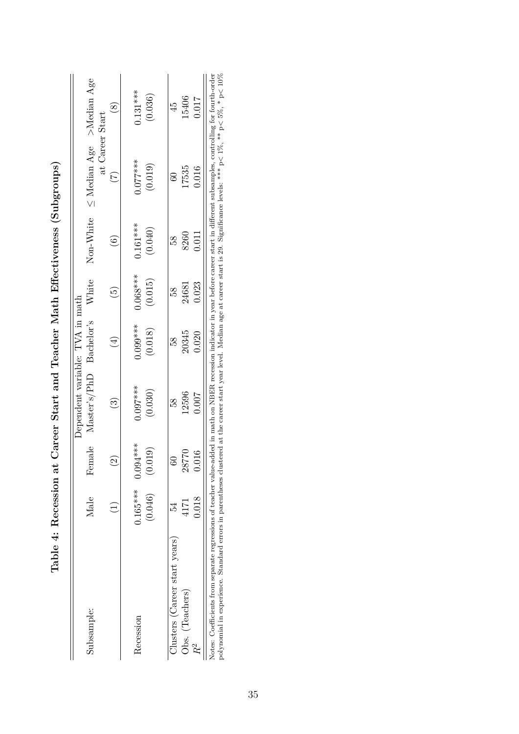|                                                                                                                                                                                                                                                                                                                                                                                                     |            |             | Dependent variable: TVA in math |               |            |            |                                                  |            |
|-----------------------------------------------------------------------------------------------------------------------------------------------------------------------------------------------------------------------------------------------------------------------------------------------------------------------------------------------------------------------------------------------------|------------|-------------|---------------------------------|---------------|------------|------------|--------------------------------------------------|------------|
| Subsample:                                                                                                                                                                                                                                                                                                                                                                                          | Male       | iale<br>Fem | Master's/PhD Bachelor's         |               | White      | Non-White  | $\leq$ Median Age >Median Age<br>at Career Start |            |
|                                                                                                                                                                                                                                                                                                                                                                                                     |            |             | ල                               | $\frac{4}{3}$ | <u>ය</u>   | (6)        |                                                  | $\infty$   |
| Recession                                                                                                                                                                                                                                                                                                                                                                                           | $0.165***$ | $0.094***$  | $0.097***$                      | $0.099***$    | $0.068***$ | $0.161***$ | $0.077***$                                       | $0.131***$ |
|                                                                                                                                                                                                                                                                                                                                                                                                     | (0.046)    | (0.019)     | (0.030)                         | (0.018)       | (0.015)    | (0.040)    | (0.019)                                          | (0.036)    |
| Clusters (Career start years)                                                                                                                                                                                                                                                                                                                                                                       |            |             | 58                              | 58            | 58         | 58         | 8                                                | 45         |
| Obs. (Teachers)                                                                                                                                                                                                                                                                                                                                                                                     | 4171       | 92.<br>287  | 12596                           | 20345         | 24681      | 8260       | 17535                                            | 15406      |
|                                                                                                                                                                                                                                                                                                                                                                                                     | 0.018      | 0.016       | 0.007                           | 0.020         | 0.023      | 0.011      | 0.016                                            | 0.017      |
| polynomial in experience. Standard errors in parentheses clustered at the career start year level. Median age at career start is 29. Significance levels: *** $p < 10$ %, ** $p < 5\%$ , * $p < 10\%$<br>Notes: Coefficients from separate regressions of teacher value-added in math on NBER recession indicator in year before career start in different subsamples, controlling for fourth-order |            |             |                                 |               |            |            |                                                  |            |

| ֚֘֝<br>j                                                                                                                         |
|----------------------------------------------------------------------------------------------------------------------------------|
| ۶<br>ا<br>֖֖֖֖֪ׅ֪ׅׅ֪ׅ֪֪ׅ֪ׅ֚֚֚֚֚֚֚֚֚֚֚֚֚֚֚֬֝֝֝֝֝֝֝֝֬֝֬֝֬֝֝֬                                                                       |
|                                                                                                                                  |
| ֧ׅׅ֧ׅׅ֧ׅ֧ׅ֧ׅ֧ׅ֧ׅ֧֛ׅ֧֛ׅ֧֧ׅ֧֧ׅ֧֛֧֧ׅ֧֧֧֧֧֧֛ׅ֧֛ׅ֧֧֧֧֧֧֧֚֚֚֚֚֚֚֚֚֚֚֚֚֚֚֚֚֚֚֚֚֚֚֚֚֚֚֚֚֚֚֚֚֬֝֝֬֓֝֓֜֓֜֓֝֬֝֝֬֝֝֬֝֜֜֝֬֝<br>\$<br>I         |
| - 《《记》<br>)<br> <br>                                                                                                             |
| )<br>}<br>}<br>-<br>-<br>-<br>-<br>-<br>-<br>-<br><br>-<br><br><br><br><br><br><br><br><br><br><br><br><br><br><br><br><br><br>֠ |
| )<br>)<br>)<br>$\frac{1}{2}$<br>Ì                                                                                                |
| .<br>、                                                                                                                           |
| $\mathbf i$<br>I                                                                                                                 |
| l<br>) - 25<br> <br> <br>j<br>י<br>                                                                                              |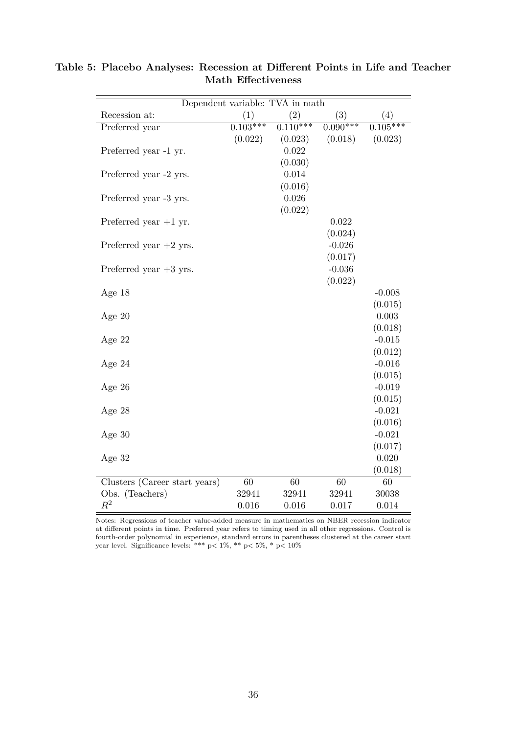|                               |            | Dependent variable: TVA in math |            |            |
|-------------------------------|------------|---------------------------------|------------|------------|
| Recession at:                 | (1)        | (2)                             | (3)        | (4)        |
| Preferred year                | $0.103***$ | $0.\overline{110^{***}}$        | $0.090***$ | $0.105***$ |
|                               | (0.022)    | (0.023)                         | (0.018)    | (0.023)    |
| Preferred year -1 yr.         |            | 0.022                           |            |            |
|                               |            | (0.030)                         |            |            |
| Preferred year -2 yrs.        |            | 0.014                           |            |            |
|                               |            | (0.016)                         |            |            |
| Preferred year -3 yrs.        |            | 0.026                           |            |            |
|                               |            | (0.022)                         |            |            |
| Preferred year $+1$ yr.       |            |                                 | 0.022      |            |
|                               |            |                                 | (0.024)    |            |
| Preferred year $+2$ yrs.      |            |                                 | $-0.026$   |            |
|                               |            |                                 | (0.017)    |            |
| Preferred year $+3$ yrs.      |            |                                 | $-0.036$   |            |
|                               |            |                                 | (0.022)    |            |
| Age 18                        |            |                                 |            | $-0.008$   |
|                               |            |                                 |            | (0.015)    |
| Age $20$                      |            |                                 |            | 0.003      |
|                               |            |                                 |            | (0.018)    |
| Age 22                        |            |                                 |            | $-0.015$   |
|                               |            |                                 |            | (0.012)    |
| Age $24$                      |            |                                 |            | $-0.016$   |
|                               |            |                                 |            | (0.015)    |
| Age $26$                      |            |                                 |            | $-0.019$   |
|                               |            |                                 |            | (0.015)    |
| Age 28                        |            |                                 |            | $-0.021$   |
|                               |            |                                 |            | (0.016)    |
| Age $30$                      |            |                                 |            | $-0.021$   |
|                               |            |                                 |            | (0.017)    |
| Age $32$                      |            |                                 |            | 0.020      |
|                               |            |                                 |            | (0.018)    |
| Clusters (Career start years) | 60         | 60                              | 60         | 60         |
| Obs. (Teachers)               | 32941      | 32941                           | 32941      | 30038      |
| $R^2$                         | 0.016      | 0.016                           | 0.017      | 0.014      |

**Table 5: Placebo Analyses: Recession at Different Points in Life and Teacher Math Effectiveness**

Notes: Regressions of teacher value-added measure in mathematics on NBER recession indicator at different points in time. Preferred year refers to timing used in all other regressions. Control is fourth-order polynomial in experience, standard errors in parentheses clustered at the career start year level. Significance levels: \*\*\* p*<* 1%, \*\* p*<* 5%, \* p*<* 10%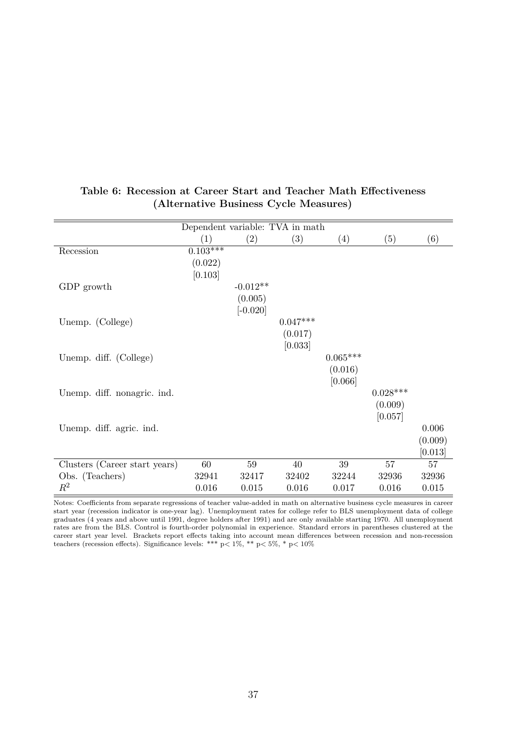|                               | Dependent variable: TVA in math |            |            |            |            |         |
|-------------------------------|---------------------------------|------------|------------|------------|------------|---------|
|                               | (1)                             | (2)        | (3)        | (4)        | (5)        | (6)     |
| Recession                     | $0.103***$                      |            |            |            |            |         |
|                               | (0.022)                         |            |            |            |            |         |
|                               | [0.103]                         |            |            |            |            |         |
| GDP growth                    |                                 | $-0.012**$ |            |            |            |         |
|                               |                                 | (0.005)    |            |            |            |         |
|                               |                                 | $[-0.020]$ |            |            |            |         |
| Unemp. (College)              |                                 |            | $0.047***$ |            |            |         |
|                               |                                 |            | (0.017)    |            |            |         |
|                               |                                 |            | [0.033]    |            |            |         |
| Unemp. diff. (College)        |                                 |            |            | $0.065***$ |            |         |
|                               |                                 |            |            | (0.016)    |            |         |
|                               |                                 |            |            | [0.066]    |            |         |
| Unemp. diff. nonagric. ind.   |                                 |            |            |            | $0.028***$ |         |
|                               |                                 |            |            |            | (0.009)    |         |
|                               |                                 |            |            |            | [0.057]    |         |
| Unemp. diff. agric. ind.      |                                 |            |            |            |            | 0.006   |
|                               |                                 |            |            |            |            | (0.009) |
|                               |                                 |            |            |            |            | [0.013] |
| Clusters (Career start years) | 60                              | 59         | 40         | 39         | 57         | 57      |
| Obs. (Teachers)               | 32941                           | 32417      | 32402      | 32244      | 32936      | 32936   |
| $R^2$                         | 0.016                           | 0.015      | 0.016      | 0.017      | 0.016      | 0.015   |

#### **Table 6: Recession at Career Start and Teacher Math Effectiveness (Alternative Business Cycle Measures)**

Notes: Coefficients from separate regressions of teacher value-added in math on alternative business cycle measures in career start year (recession indicator is one-year lag). Unemployment rates for college refer to BLS unemployment data of college graduates (4 years and above until 1991, degree holders after 1991) and are only available starting 1970. All unemployment rates are from the BLS. Control is fourth-order polynomial in experience. Standard errors in parentheses clustered at the career start year level. Brackets report effects taking into account mean differences between recession and non-recession teachers (recession effects). Significance levels: \*\*\* p*<* 1%, \*\* p*<* 5%, \* p*<* 10%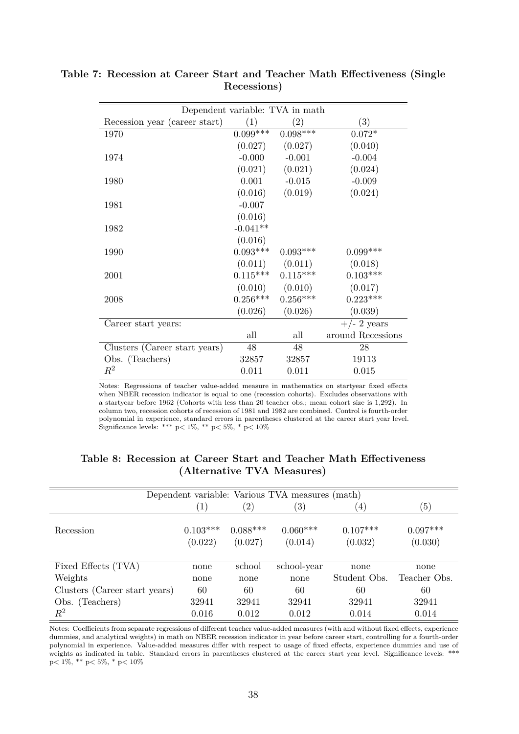|                               | Dependent variable: TVA in math |                       |                   |  |  |  |  |  |  |
|-------------------------------|---------------------------------|-----------------------|-------------------|--|--|--|--|--|--|
| Recession year (career start) | (1)                             | (2)                   | (3)               |  |  |  |  |  |  |
| 1970                          | $0.099***$                      | $0.098***$            | $0.072*$          |  |  |  |  |  |  |
|                               | (0.027)                         | (0.027)               | (0.040)           |  |  |  |  |  |  |
| 1974                          | $-0.000$                        | $-0.001$              | $-0.004$          |  |  |  |  |  |  |
|                               | (0.021)                         | (0.021)               | (0.024)           |  |  |  |  |  |  |
| 1980                          |                                 | $0.001 - 0.015$       | $-0.009$          |  |  |  |  |  |  |
|                               |                                 | $(0.016)$ $(0.019)$   | (0.024)           |  |  |  |  |  |  |
| 1981                          | $-0.007$                        |                       |                   |  |  |  |  |  |  |
|                               | (0.016)                         |                       |                   |  |  |  |  |  |  |
| 1982                          | $-0.041**$                      |                       |                   |  |  |  |  |  |  |
|                               | (0.016)                         |                       |                   |  |  |  |  |  |  |
| 1990                          | $0.093***$                      | $0.093***$            | $0.099***$        |  |  |  |  |  |  |
|                               |                                 | $(0.011)$ $(0.011)$   | (0.018)           |  |  |  |  |  |  |
| 2001                          |                                 | $0.115***$ $0.115***$ | $0.103***$        |  |  |  |  |  |  |
|                               |                                 | $(0.010)$ $(0.010)$   | (0.017)           |  |  |  |  |  |  |
| 2008                          |                                 | $0.256***$ $0.256***$ | $0.223***$        |  |  |  |  |  |  |
|                               | (0.026)                         | (0.026)               | (0.039)           |  |  |  |  |  |  |
| Career start years:           |                                 |                       | $+/- 2$ years     |  |  |  |  |  |  |
|                               | all                             | all                   | around Recessions |  |  |  |  |  |  |
| Clusters (Career start years) | 48                              | 48                    | 28                |  |  |  |  |  |  |
| Obs. (Teachers)               | 32857                           | 32857                 | 19113             |  |  |  |  |  |  |
| $\,R^2$                       | 0.011                           | 0.011                 | 0.015             |  |  |  |  |  |  |

**Table 7: Recession at Career Start and Teacher Math Effectiveness (Single Recessions)**

Notes: Regressions of teacher value-added measure in mathematics on startyear fixed effects when NBER recession indicator is equal to one (recession cohorts). Excludes observations with a startyear before 1962 (Cohorts with less than 20 teacher obs.; mean cohort size is 1,292). In column two, recession cohorts of recession of 1981 and 1982 are combined. Control is fourth-order polynomial in experience, standard errors in parentheses clustered at the career start year level. Significance levels: \*\*\* p*<* 1%, \*\* p*<* 5%, \* p*<* 10%

|                               |                  |               | Dependent variable: Various TVA measures (math) |                   |              |
|-------------------------------|------------------|---------------|-------------------------------------------------|-------------------|--------------|
|                               | $\left(1\right)$ | $^{\prime}2)$ | $\left(3\right)$                                | $\left( 4\right)$ | (5)          |
| Recession                     | $0.103***$       | $0.088***$    | $0.060***$                                      | $0.107***$        | $0.097***$   |
|                               | (0.022)          | (0.027)       | (0.014)                                         | (0.032)           | (0.030)      |
| Fixed Effects (TVA)           | none             | school        | school-year                                     | none              | none         |
| Weights                       | none             | none          | none                                            | Student Obs.      | Teacher Obs. |
| Clusters (Career start years) | 60               | 60            | 60                                              | 60                | 60           |
| Obs. (Teachers)               | 32941            | 32941         | 32941                                           | 32941             | 32941        |
| $\,R^2$                       | 0.016            | 0.012         | 0.012                                           | 0.014             | 0.014        |

#### **Table 8: Recession at Career Start and Teacher Math Effectiveness (Alternative TVA Measures)**

Notes: Coefficients from separate regressions of different teacher value-added measures (with and without fixed effects, experience dummies, and analytical weights) in math on NBER recession indicator in year before career start, controlling for a fourth-order polynomial in experience. Value-added measures differ with respect to usage of fixed effects, experience dummies and use of weights as indicated in table. Standard errors in parentheses clustered at the career start year level. Significance levels: \*\*\* p*<* 1%, \*\* p*<* 5%, \* p*<* 10%